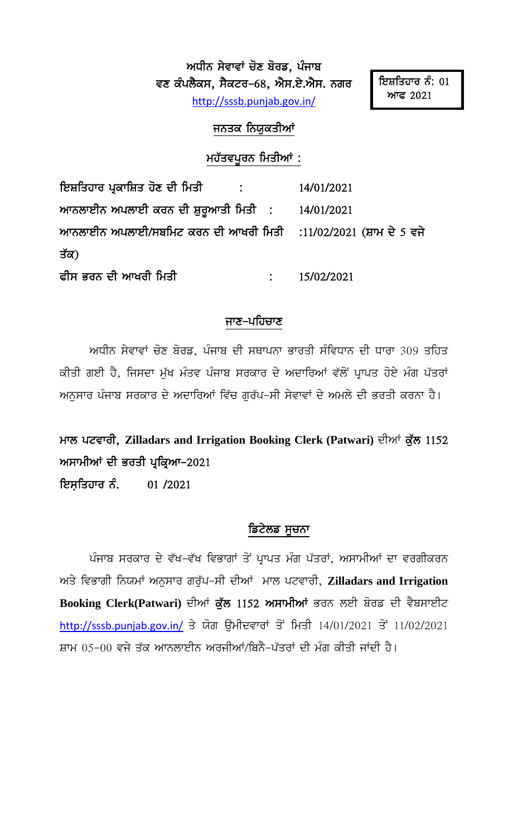ਅਧੀਨ ਸੇਵਾਵਾਂ ਚੋਣ ਬੋਰਡ, ਪੰਜਾਬ ਵਣ ਕੰਪਲੈਕਸ, ਸੈਕਟਰ–68, ਐਸ.ਏ.ਐਸ. ਨਗਰ http://sssb.punjab.gov.in/

## ਜਨਤਕ ਨਿਯੁਕਤੀਆਂ

## ਮਹੱਤਵਪੂਰਨ ਮਿਤੀਆਂ :

| ਇਸ਼ਤਿਹਾਰ ਪ੍ਰਕਾਸ਼ਿਤ ਹੋਣ ਦੀ ਮਿਤੀ          :                        | 14/01/2021   |
|------------------------------------------------------------------|--------------|
| ਆਨਲਾਈਨ ਅਪਲਾਈ ਕਰਨ ਦੀ ਸ਼ੁਰੁਆਤੀ ਮਿਤੀ  :      14/01/2021             |              |
| ਆਨਲਾਈਨ ਅਪਲਾਈ/ਸਬਮਿਟ ਕਰਨ ਦੀ ਆਖਰੀ ਮਿਤੀ   :11/02/2021 (ਸ਼ਾਮ ਦੇ 5 ਵਜੇ |              |
| ਤੱਕ)                                                             |              |
| ਫੀਸ ਭਰਨ ਦੀ ਆਖਰੀ ਮਿਤੀ                                             | : 15/02/2021 |

## ਜਾਣ–ਪਹਿਚਾਣ

ਅਧੀਨ ਸੇਵਾਵਾਂ ਚੋਣ ਬੋਰਡ, ਪੰਜਾਬ ਦੀ ਸਥਾਪਨਾ ਭਾਰਤੀ ਸੰਵਿਧਾਨ ਦੀ ਧਾਰਾ 309 ਤਹਿਤ ਕੀਤੀ ਗਈ ਹੈ, ਜਿਸਦਾ ਮੁੱਖ ਮੰਤਵ ਪੰਜਾਬ ਸਰਕਾਰ ਦੇ ਅਦਾਰਿਆਂ ਵੱਲੋਂ ਪ੍ਰਾਪਤ ਹੋਏ ਮੰਗ ਪੱਤਰਾਂ ਅਨੁਸਾਰ ਪੰਜਾਬ ਸਰਕਾਰ ਦੇ ਅਦਾਰਿਆਂ ਵਿੱਚ ਗੁਰੱਪ–ਸੀ ਸੇਵਾਵਾਂ ਦੇ ਅਮਲੇ ਦੀ ਭਰਤੀ ਕਰਨਾ ਹੈ।

ਮਾਲ ਪਟਵਾਰੀ, Zilladars and Irrigation Booking Clerk (Patwari) ਦੀਆਂ ਕੁੱਲ 1152 ਅਸਾਮੀਆਂ ਦੀ ਭਰਤੀ ਪ੍ਰਕ੍ਰਿਆ-2021

ਇਸਤਿਹਾਰ ਨੰ. 01/2021

## ਡਿਟੇਲਡ ਸੂਚਨਾ

ਪੰਜਾਬ ਸਰਕਾਰ ਦੇ ਵੱਖ-ਵੱਖ ਵਿਭਾਗਾਂ ਤੋਂ ਪ੍ਰਾਪਤ ਮੰਗ ਪੱਤਰਾਂ, ਅਸਾਮੀਆਂ ਦਾ ਵਰਗੀਕਰਨ ਅਤੇ ਵਿਭਾਗੀ ਨਿਯਮਾਂ ਅਨੁਸਾਰ ਗਰੁੱਪ-ਸੀ ਦੀਆਂ ਮਾਲ ਪਟਵਾਰੀ, Zilladars and Irrigation Booking Clerk(Patwari) ਦੀਆਂ ਕੁੱਲ 1152 ਅਸਾਮੀਆਂ ਭਰਨ ਲਈ ਬੋਰਡ ਦੀ ਵੈਬਸਾਈਟ http://sssb.punjab.gov.in/ ਤੇ ਯੋਗ ੳਮੀਦਵਾਰਾਂ ਤੋਂ ਮਿਤੀ 14/01/2021 ਤੋਂ 11/02/2021 ਸ਼ਾਮ 05-00 ਵਜੇ ਤੱਕ ਆਨਲਾਈਨ ਅਰਜੀਆਂ/ਬਿਨੈ-ਪੱਤਰਾਂ ਦੀ ਮੰਗ ਕੀਤੀ ਜਾਂਦੀ ਹੈ।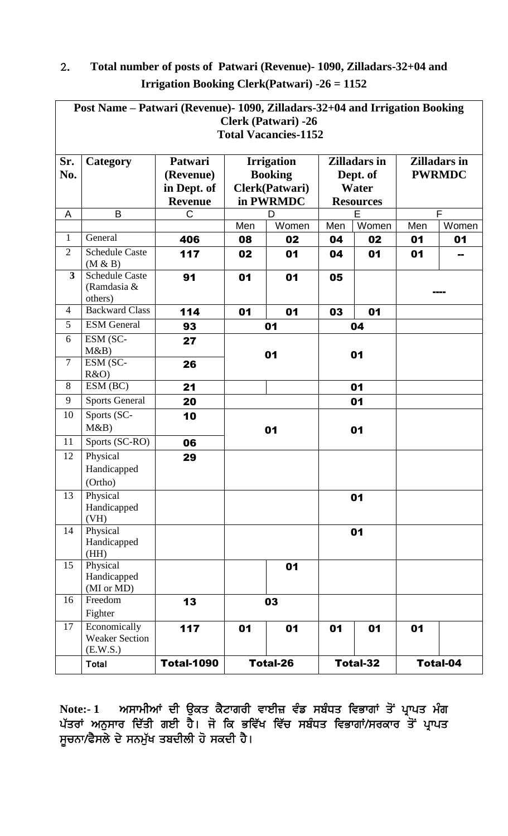| Post Name – Patwari (Revenue) - 1090, Zilladars - 32+04 and Irrigation Booking |                                                   |                                                       |                                                                    |                 |                                          |                 |                                      |                 |
|--------------------------------------------------------------------------------|---------------------------------------------------|-------------------------------------------------------|--------------------------------------------------------------------|-----------------|------------------------------------------|-----------------|--------------------------------------|-----------------|
| <b>Clerk (Patwari) -26</b>                                                     |                                                   |                                                       |                                                                    |                 |                                          |                 |                                      |                 |
| <b>Total Vacancies-1152</b>                                                    |                                                   |                                                       |                                                                    |                 |                                          |                 |                                      |                 |
| Sr.<br>No.                                                                     | Category                                          | Patwari<br>(Revenue)<br>in Dept. of<br><b>Revenue</b> | <b>Irrigation</b><br><b>Booking</b><br>Clerk(Patwari)<br>in PWRMDC |                 | <b>Zilladars in</b><br>Dept. of<br>Water |                 | <b>Zilladars in</b><br><b>PWRMDC</b> |                 |
| A                                                                              | B                                                 | C                                                     |                                                                    | D               | <b>Resources</b><br>E                    |                 | F                                    |                 |
|                                                                                |                                                   |                                                       | Men                                                                | Women           | Men                                      | Women           | Men                                  | Women           |
| $\mathbf{1}$                                                                   | General                                           | 406                                                   | 08                                                                 | 02              | 04                                       | 02              | 01                                   | 01              |
| $\overline{2}$                                                                 | <b>Schedule Caste</b><br>(M & B)                  | 117                                                   | 02                                                                 | 01              | 04                                       | 01              | 01                                   |                 |
| $\overline{\mathbf{3}}$                                                        | <b>Schedule Caste</b><br>(Ramdasia &<br>others)   | 91                                                    | 01                                                                 | 01              | 05                                       |                 |                                      |                 |
| $\overline{4}$                                                                 | <b>Backward Class</b>                             | 114                                                   | 01                                                                 | 01              | 03                                       | 01              |                                      |                 |
| 5                                                                              | <b>ESM</b> General                                | 93                                                    |                                                                    | 01              |                                          | 04              |                                      |                 |
| 6                                                                              | ESM (SC-<br>M&B                                   | 27                                                    | 01                                                                 |                 | 01                                       |                 |                                      |                 |
| $\overline{7}$                                                                 | ESM (SC-<br>R&O                                   | 26                                                    |                                                                    |                 |                                          |                 |                                      |                 |
| 8                                                                              | ESM (BC)                                          | 21                                                    |                                                                    |                 |                                          | 01              |                                      |                 |
| 9                                                                              | <b>Sports General</b>                             | 20                                                    |                                                                    |                 |                                          | 01              |                                      |                 |
| 10                                                                             | Sports (SC-<br>M&B                                | 10                                                    |                                                                    | 01              | 01                                       |                 |                                      |                 |
| 11                                                                             | Sports (SC-RO)                                    | 06                                                    |                                                                    |                 |                                          |                 |                                      |                 |
| 12                                                                             | Physical                                          | 29                                                    |                                                                    |                 |                                          |                 |                                      |                 |
|                                                                                | Handicapped                                       |                                                       |                                                                    |                 |                                          |                 |                                      |                 |
|                                                                                | (Ortho)                                           |                                                       |                                                                    |                 |                                          |                 |                                      |                 |
| 13                                                                             | Physical<br>Handicapped<br>(VH)                   |                                                       |                                                                    |                 |                                          | 01              |                                      |                 |
| 14                                                                             | Physical<br>Handicapped<br>(HH)                   |                                                       |                                                                    |                 | 01                                       |                 |                                      |                 |
| 15                                                                             | Physical<br>Handicapped<br>(MI or MD)             |                                                       |                                                                    | 01              |                                          |                 |                                      |                 |
| 16                                                                             | Freedom<br>Fighter                                | 13                                                    |                                                                    | 03              |                                          |                 |                                      |                 |
| 17                                                                             | Economically<br><b>Weaker Section</b><br>(E.W.S.) | 117                                                   | 01                                                                 | 01              | 01                                       | 01              | 01                                   |                 |
|                                                                                | <b>Total</b>                                      | <b>Total-1090</b>                                     |                                                                    | <b>Total-26</b> |                                          | <b>Total-32</b> |                                      | <b>Total-04</b> |

## 2. Total number of posts of Patwari (Revenue)- 1090, Zilladars-32+04 and **Irrigation Booking Clerk(Patwari) -26 = 1152**

Note:- 1 ਅਸਾਮੀਆਂ ਦੀ ਉਕਤ ਕੈਟਾਗਰੀ ਵਾਈਜ਼ ਵੰਡ ਸਬੰਧਤ ਵਿਭਾਗਾਂ ਤੋਂ ਪ੍ਰਾਪਤ ਮੰਗ ਪੱਤਰਾਂ ਅਨੁਸਾਰ ਦਿੱਤੀ ਗਈ ਹੈ। ਜੋ ਕਿ ਭਵਿੱਖ ਵਿੱਚ ਸਬੰਧਤ ਵਿਭਾਗਾਂ/ਸਰਕਾਰ ਤੋਂ ਪ੍ਰਾਪਤ ਸੂਚਨਾ/ਫੈਸਲੇ ਦੇ ਸਨਮੁੱਖ ਤਬਦੀਲੀ ਹੋ ਸਕਦੀ ਹੈ।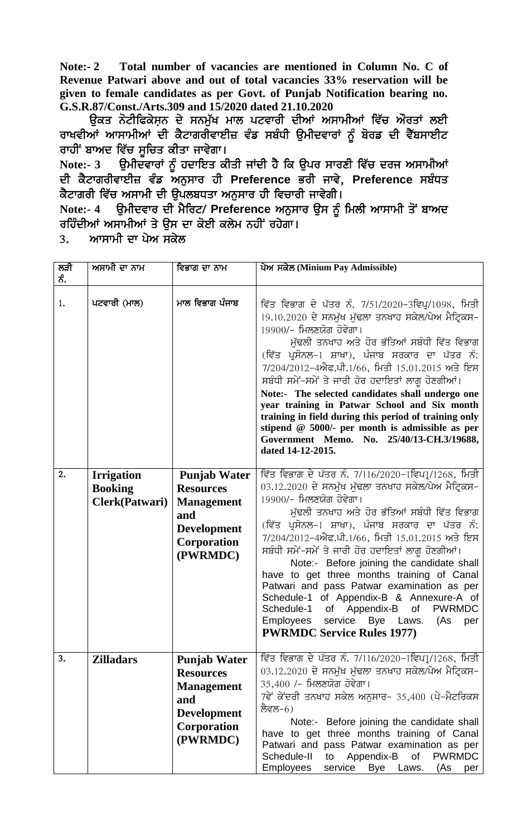**Note:- 2 Total number of vacancies are mentioned in Column No. C of Revenue Patwari above and out of total vacancies 33% reservation will be given to female candidates as per Govt. of Punjab Notification bearing no. G.S.R.87/Const./Arts.309 and 15/2020 dated 21.10.2020**

ਉਕਤ ਨੋਟੀਫਿਕੇਸ਼ਨ ਦੇ ਸਨਮੁੱਖ ਮਾਲ ਪਟਵਾਰੀ ਦੀਆਂ ਅਸਾਮੀਆਂ ਵਿੱਚ ਔਰਤਾਂ ਲਈ ਰਾਖਵੀਆਂ ਆਸਾਮੀਆਂ ਦੀ ਕੈਟਾਗਰੀਵਾਈਜ਼ ਵੰਡ ਸਬੰਧੀ ਉਮੀਦਵਾਰਾਂ ਨੂੰ ਬੋਰਡ ਦੀ ਵੈੱਬਸਾਈਟ ਰਾਹੀਂ ਬਾਅਦ ਵਿੱਚ ਸੁਚਿਤ ਕੀਤਾ ਜਾਵੇਗਾ।

Note:- 3 ਉਮੀਦ<sup>ੁ</sup>ਵਾਰਾਂ ਨੂੰ ਹਦਾਇਤ ਕੀਤੀ ਜਾਂਦੀ ਹੈ ਕਿ ਉਪਰ ਸਾਰਣੀ ਵਿੱਚ ਦਰਜ ਅਸਾਮੀਆਂ ਦੀ ਕੈਟਾਗਰੀਵਾਈਜ਼ ਵੰਡ ਅਨੁਸਾਰ ਹੀ Preference ਭਰੀ ਜਾਵੇ, Preference ਸਬੰਧਤ ਕੈਟਾਗਰੀ ਵਿੱਚ ਅਸਾਮੀ ਦੀ ੳਪਲਬਧਤਾ ਅਨਸਾਰ ਹੀ ਵਿਚਾਰੀ ਜਾਵੇਗੀ।

Note:- 4 **ਉਮੀਦਵਾਰ ਦੀ ਮੈਰਿਟ/ Preference ਅਨੁਸਾਰ ਉਸ** ਨੂੰ ਮਿਲੀ ਆਸਾਮੀ ਤੋਂ ਬਾਅਦ ਰਹਿੰਦੀਆਂ ਅਸਾਮੀਆਂ ਤੇ ਉਸ ਦਾ ਕੋਈ ਕਲੇਮ ਨਹੀਂ ਰਹੇਗਾ।

3. ਆਸਾਮੀ ਦਾ ਪੇਅ ਸਕੇਲ

| ਲੜੀ<br>ਨੰ. | ਅਸਾਮੀ ਦਾ ਨਾਮ                                          | ਵਿਭਾਗ ਦਾ ਨਾਮ                                                                                                         | ਪੇਅ ਸਕੇਲ (Minium Pay Admissible)                                                                                                                                                                                                                                                                                                                                                                                                                                                                                                                                                                                                                                                |
|------------|-------------------------------------------------------|----------------------------------------------------------------------------------------------------------------------|---------------------------------------------------------------------------------------------------------------------------------------------------------------------------------------------------------------------------------------------------------------------------------------------------------------------------------------------------------------------------------------------------------------------------------------------------------------------------------------------------------------------------------------------------------------------------------------------------------------------------------------------------------------------------------|
| 1.         | ਪਟਵਾਰੀ (ਮਾਲ)                                          | ਮਾਲ ਵਿਭਾਗ ਪੰਜਾਬ                                                                                                      | ਵਿੱਤ ਵਿਭਾਗ ਦੇ ਪੱਤਰ ਨੰ. 7/51/2020-3ਵਿਪ੍ਰ/1098, ਮਿਤੀ<br>19.10.2020 ਦੇ ਸਨਮੁੱਖ ਮੁੱਢਲਾ ਤਨਖਾਹ ਸਕੇਲ/ਪੇਅ ਮੈਟ੍ਰਿਕਸ–<br>19900/– ਮਿਲਣਯੋਗ ਹੋਵੇਗਾ।<br>ਮੁੱਢਲੀ ਤਨਖਾਹ ਅਤੇ ਹੋਰ ਭੱਤਿਆਂ ਸਬੰਧੀ ਵਿੱਤ ਵਿਭਾਗ<br>(ਵਿੱਤ ਪ੍ਰਸੋਨਲ-1 ਸ਼ਾਖਾ), ਪੰਜਾਬ ਸਰਕਾਰ ਦਾ ਪੱਤਰ ਨੰ:<br>7/204/2012-4ਐਫ.ਪੀ.1/66, ਮਿਤੀ 15.01.2015 ਅਤੇ ਇਸ<br>ਸਬੰਧੀ ਸਮੇਂ-ਸਮੇਂ ਤੇ ਜਾਰੀ ਹੋਰ ਹਦਾਇਤਾਂ ਲਾਗੂ ਹੋਣਗੀਆਂ।<br>Note:- The selected candidates shall undergo one<br>year training in Patwar School and Six month<br>training in field during this period of training only<br>stipend $@$ 5000/- per month is admissible as per<br>Government Memo. No. 25/40/13-CH.3/19688,<br>dated 14-12-2015.                                             |
| 2.         | <b>Irrigation</b><br><b>Booking</b><br>Clerk(Patwari) | <b>Punjab Water</b><br><b>Resources</b><br><b>Management</b><br>and<br><b>Development</b><br>Corporation<br>(PWRMDC) | ਵਿੱਤ ਵਿਭਾਗ ਦੇ ਪੱਤਰ ਨੰ. 7/116/2020-1ਵਿਪ1਼੍ਰ/1268, ਮਿਤੀ<br>03.12.2020 ਦੇ ਸਨਮੁੱਖ ਮੁੱਢਲਾ ਤਨਖਾਹ ਸਕੇਲ/ਪੇਅ ਮੈਟ੍ਰਿਕਸ–<br>19900/- ਮਿਲਣਯੋਗ ਹੋਵੇਗਾ।<br>ਮੁੱਢਲੀ ਤਨਖਾਹ ਅਤੇ ਹੋਰ ਭੱਤਿਆਂ ਸਬੰਧੀ ਵਿੱਤ ਵਿਭਾਗ<br>(ਵਿੱਤ ਪ੍ਰਸੋਨਲ-1 ਸ਼ਾਖਾ), ਪੰਜਾਬ ਸਰਕਾਰ ਦਾ ਪੱਤਰ ਨੰ:<br>7/204/2012-4ਐਫ.ਪੀ.1/66, ਮਿਤੀ 15.01.2015 ਅਤੇ ਇਸ<br>ਸਬੰਧੀ ਸਮੇਂ-ਸਮੇਂ ਤੇ ਜਾਰੀ ਹੋਰ ਹਦਾਇਤਾਂ ਲਾਗੁ ਹੋਣਗੀਆਂ।<br>Note:- Before joining the candidate shall<br>have to get three months training of Canal<br>Patwari and pass Patwar examination as per<br>Schedule-1 of Appendix-B & Annexure-A of<br>Schedule-1 of Appendix-B<br><b>PWRMDC</b><br>of<br>service Bye Laws.<br>Employees<br>(As<br>per<br><b>PWRMDC Service Rules 1977)</b> |
| 3.         | <b>Zilladars</b>                                      | <b>Punjab Water</b><br><b>Resources</b><br><b>Management</b><br>and<br><b>Development</b><br>Corporation<br>(PWRMDC) | ਵਿੱਤ ਵਿਭਾਗ ਦੇ ਪੱਤਰ ਨੰ. 7/116/2020-1ਵਿਪ1਼੍ਰ/1268, ਮਿਤੀ<br>03.12.2020 ਦੇ ਸਨਮੁੱਖ ਮੁੱਢਲਾ ਤਨਖਾਹ ਸਕੇਲ/ਪੇਅ ਮੈਟ੍ਰਿਕਸ–<br>35,400 /- ਮਿਲਣਯੋਗ ਹੋਵੇਗਾ।<br>7ਵੇਂ ਕੇਂਦਰੀ ਤਨਖਾਹ ਸਕੇਲ ਅਨੁਸਾਰ- 35,400 (ਪੇ-ਮੈਟਰਿਕਸ<br>ਲੈਵਲ−6)<br>Note:- Before joining the candidate shall<br>have to get three months training of Canal<br>Patwari and pass Patwar examination as per<br>Schedule-II<br>Appendix-B<br>of<br><b>PWRMDC</b><br>to<br>Employees<br>service<br>Bye Laws.<br>(As<br>per                                                                                                                                                                                                                |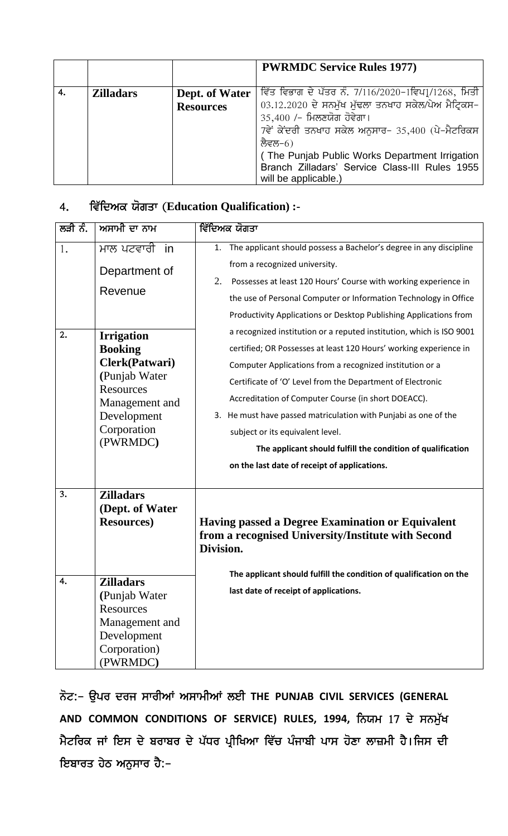|    |                  |                                    | <b>PWRMDC Service Rules 1977)</b>                                                                                                                                                                                                                                                                                                    |
|----|------------------|------------------------------------|--------------------------------------------------------------------------------------------------------------------------------------------------------------------------------------------------------------------------------------------------------------------------------------------------------------------------------------|
| 4. | <b>Zilladars</b> | Dept. of Water<br><b>Resources</b> | ਵਿੱਤ ਵਿਭਾਗ ਦੇ ਪੱਤਰ ਨੰ. 7/116/2020-1ਵਿਪ1/1268, ਮਿਤੀ<br>03.12.2020 ਦੇ ਸਨਮੁੱਖ ਮੁੱਢਲਾ ਤਨਖਾਹ ਸਕੇਲ/ਪੇਅ ਮੈਟ੍ਰਿਕਸ–<br>35,400 /- ਮਿਲਣਯੋਗ ਹੋਵੇਗਾ।<br>7ਵੇਂ ਕੇਂਦਰੀ ਤਨਖਾਹ ਸਕੇਲ ਅਨੁਸਾਰ- 35,400 (ਪੇ-ਮੈਟਰਿਕਸ<br>ਲੈਵਲ–6)<br>(The Punjab Public Works Department Irrigation)<br>Branch Zilladars' Service Class-III Rules 1955<br>will be applicable.) |

# 4. ਵਿੱਦਿਅਕ ਯੋਗਤਾ (Education Qualification) :-

| ਲੜੀ ਨੰ.  | ਅਸਾਮੀ ਦਾ ਨਾਮ                                                                                                                                                                                 | <u>ਵਿੱਦਿਅਕ</u> ਯੋਗਤਾ                                                                                                                                                                                                                                                                                                                                                                                                                                                                                                                                                                                                                                                                                                                                                                                                                                                            |
|----------|----------------------------------------------------------------------------------------------------------------------------------------------------------------------------------------------|---------------------------------------------------------------------------------------------------------------------------------------------------------------------------------------------------------------------------------------------------------------------------------------------------------------------------------------------------------------------------------------------------------------------------------------------------------------------------------------------------------------------------------------------------------------------------------------------------------------------------------------------------------------------------------------------------------------------------------------------------------------------------------------------------------------------------------------------------------------------------------|
| 1.<br>2. | ਮਾਲ ਪਟਵਾਰੀ in<br>Department of<br>Revenue<br><b>Irrigation</b><br><b>Booking</b><br>Clerk(Patwari)<br>(Punjab Water<br>Resources<br>Management and<br>Development<br>Corporation<br>(PWRMDC) | The applicant should possess a Bachelor's degree in any discipline<br>1.<br>from a recognized university.<br>2.<br>Possesses at least 120 Hours' Course with working experience in<br>the use of Personal Computer or Information Technology in Office<br>Productivity Applications or Desktop Publishing Applications from<br>a recognized institution or a reputed institution, which is ISO 9001<br>certified; OR Possesses at least 120 Hours' working experience in<br>Computer Applications from a recognized institution or a<br>Certificate of 'O' Level from the Department of Electronic<br>Accreditation of Computer Course (in short DOEACC).<br>3. He must have passed matriculation with Punjabi as one of the<br>subject or its equivalent level.<br>The applicant should fulfill the condition of qualification<br>on the last date of receipt of applications. |
| 3.<br>4. | <b>Zilladars</b><br>(Dept. of Water<br><b>Resources</b> )<br><b>Zilladars</b><br>(Punjab Water<br>Resources<br>Management and<br>Development<br>Corporation)<br>(PWRMDC)                     | <b>Having passed a Degree Examination or Equivalent</b><br>from a recognised University/Institute with Second<br>Division.<br>The applicant should fulfill the condition of qualification on the<br>last date of receipt of applications.                                                                                                                                                                                                                                                                                                                                                                                                                                                                                                                                                                                                                                       |

ਨੋਟ:– ਉਪਰ ਦਰਜ ਸਾਰੀਆਂ ਅਸਾਮੀਆਂ ਲਈ THE PUNJAB CIVIL SERVICES (GENERAL **AND COMMON CONDITIONS OF SERVICE) RULES, 1994, ਨਿਯਮ 17 ਦੇ ਸਨਮੁੱਖ** ਮੈਟਰਿਕ ਜਾਂ ਇਸ ਦੇ ਬਰਾਬਰ ਦੇ ਪੱਧਰ ਪ੍ਰੀਖਿਆ ਵਿੱਚ ਪੰਜਾਬੀ ਪਾਸ ਹੋਣਾ ਲਾਜ਼ਮੀ ਹੈ।ਜਿਸ ਦੀ ਇਬਾਰਤ ਹੇਠ ਅਨੁਸਾਰ ਹੈ:-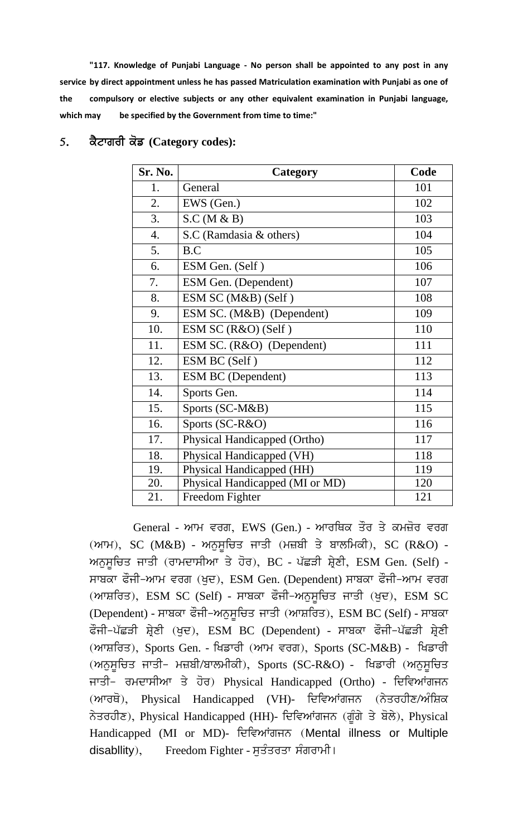**"117. Knowledge of Punjabi Language - No person shall be appointed to any post in any service by direct appointment unless he has passed Matriculation examination with Punjabi as one of the compulsory or elective subjects or any other equivalent examination in Punjabi language, which may be specified by the Government from time to time:"**

| <b>Sr. No.</b> | Category                        | Code |
|----------------|---------------------------------|------|
| 1.             | General                         | 101  |
| 2.             | EWS (Gen.)                      | 102  |
| 3.             | S.C (M & B)                     | 103  |
| 4.             | S.C (Ramdasia & others)         | 104  |
| 5.             | B.C                             | 105  |
| 6.             | ESM Gen. (Self)                 | 106  |
| 7.             | ESM Gen. (Dependent)            | 107  |
| 8.             | ESM SC (M&B) (Self)             | 108  |
| 9.             | ESM SC. (M&B) (Dependent)       | 109  |
| 10.            | ESM SC (R&O) (Self)             | 110  |
| 11.            | ESM SC. (R&O) (Dependent)       | 111  |
| 12.            | ESM BC (Self)                   | 112  |
| 13.            | <b>ESM BC</b> (Dependent)       | 113  |
| 14.            | Sports Gen.                     | 114  |
| 15.            | Sports (SC-M&B)                 | 115  |
| 16.            | Sports (SC-R&O)                 | 116  |
| 17.            | Physical Handicapped (Ortho)    | 117  |
| 18.            | Physical Handicapped (VH)       | 118  |
| 19.            | Physical Handicapped (HH)       | 119  |
| 20.            | Physical Handicapped (MI or MD) | 120  |
| 21.            | Freedom Fighter                 | 121  |

## 5. ਕੈਟਾਗਰੀ ਕੋਡ (Category codes):

General - ਆਮ ਵਰਗ, EWS (Gen.) - ਆਰਥਿਕ ਤੌਰ ਤੇ ਕਮਜ਼ੋਰ ਵਰਗ  $(mF)$ , SC  $(M\&B)$  - ਅਨੁਸੂਚਿਤ ਜਾਤੀ (ਮਜ਼ਬੀ ਤੇ ਬਾਲਮਿਕੀ), SC  $(R\&O)$  -ਅਨੁਸੂਚਿਤ ਜਾਤੀ (ਰਾਮਦਾਸੀਆ ਤੇ ਹੋਰ), BC - ਪੱਛੜੀ ਸ਼੍ਰੇਣੀ, ESM Gen. (Self) -ਸਾਬਕਾ ਫੌਜੀ-ਆਮ ਵਰਗ (ਖਦ), ESM Gen. (Dependent) ਸਾਬਕਾ ਫੌਜੀ-ਆਮ ਵਰਗ  $(mnF$ ਸ਼ਰਿਤ), ESM SC (Self) - ਸਾਬਕਾ ਫੌਜੀ-ਅਨੁਸੂਚਿਤ ਜਾਤੀ (ਖੁਦ), ESM SC (Dependent) - ਸਾਬਕਾ ਫੌਜੀ-ਅਨੁਸੂਚਿਤ ਜਾਤੀ (ਆਸ਼ਰਿਤ), ESM BC (Self) - ਸਾਬਕਾ ਫੌਜੀ-ਪੱਛੜੀ ਸ਼੍ਰੇਣੀ (ਖੁਦ), ESM BC (Dependent) - ਸਾਬਕਾ ਫੌਜੀ-ਪੱਛੜੀ ਸ਼੍ਰੇਣੀ  $(mn\bar{n})$ , Sports Gen. - ਖਿਡਾਰੀ  $(mn\bar{n})$  ਵਰਗ), Sports (SC-M&B) - ਖਿਡਾਰੀ  $(m_{\overline{Q}})$ ਮੁਲਿਤ ਜਾਤੀ– ਮਜ਼ਬੀ/ਬਾਲਮੀਕੀ), Sports (SC-R&O) - ਖਿਡਾਰੀ (ਅਨੁਸੂਚਿਤ ਜਾਤੀ- ਰਮਦਾਸੀਆ ਤੇ ਹੋਰ) Physical Handicapped (Ortho) - ਦਿਵਿਆਂਗਜਨ (ਆਰਥੋ), Physical Handicapped (VH)- ਦਿਵਿਆਂਗਜਨ (ਨੇਤਰਹੀਣ/ਅੰਸ਼ਿਕ ਨੇਤਰਹੀਣ), Physical Handicapped (HH)- ਦਿਵਿਆਂਗਜਨ (ਗੂੰਗੇ ਤੇ ਬੋਲੇ), Physical Handicapped (MI or MD)- ਦਿਵਿਆਂਗਜਨ (Mental illness or Multiple disabllity), Freedom Fighter - ਸੁਤੰਤਰਤਾ ਸੰਗਰਾਮੀ।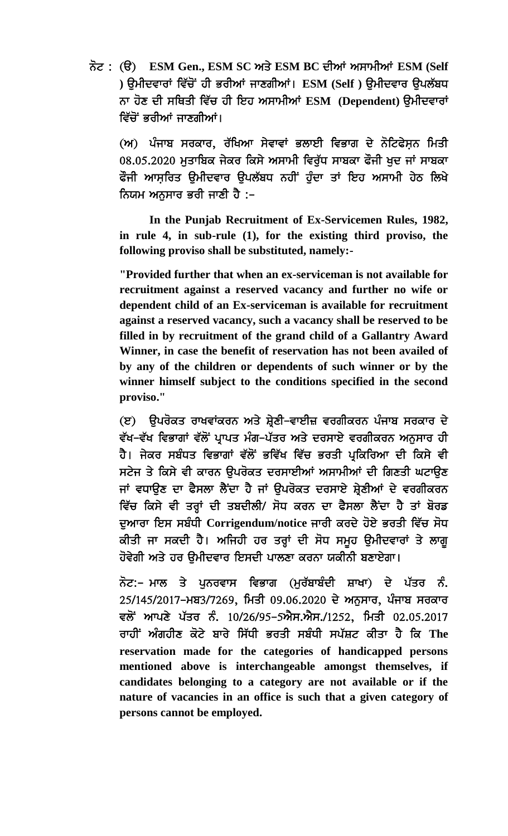ਨੋਟ : (ੳ) **ESM Gen., ESM SC ਅਤੇ ESM BC ਦੀਆਂ ਅਸਾਮੀਆਂ ESM (Self** ) ੳਮੀਦਵਾਰਾਂ ਵਿੱਚੋਂ ਹੀ ਭਰੀਆਂ ਜਾਣਗੀਆਂ। ESM (Self ) ੳਮੀਦਵਾਰ ੳਪਲੱਬਧ ਨਾ ਹੋਣ ਦੀ ਸਥਿਤੀ ਵਿੱਚ ਹੀ ਇਹ ਅਸਾਮੀਆਂ ESM (Dependent) ਉਮੀਦਵਾਰਾਂ ਵਿੱਚੋਂ ਭਰੀਆਂ ਜਾਣਗੀਆਂ।

(ਅ) ਪੰਜਾਬ ਸਰਕਾਰ, ਰੱਖਿਆ ਸੇਵਾਵਾਂ ਭਲਾਈ ਵਿਭਾਗ ਦੇ ਨੋਟਿਫੇਸਨ ਮਿਤੀ  $08.05.2020$  ਮਤਾਬਿਕ ਜੇਕਰ ਕਿਸੇ ਅਸਾਮੀ ਵਿਰੱਧ ਸਾਬਕਾ ਫੌਜੀ ਖਦ ਜਾਂ ਸਾਬਕਾ ਫੌਜੀ ਆਸ਼ਰਿਤ ੳਮੀਦਵਾਰ ੳਪਲੱਬਧ ਨਹੀਂ ਹੁੰਦਾ ਤਾਂ ਇਹ ਅਸਾਮੀ ਹੇਠ ਲਿਖੇ ਨਿਯਮ ਅਨਸਾਰ ਭਰੀ ਜਾਣੀ ਹੈ :–

 **In the Punjab Recruitment of Ex-Servicemen Rules, 1982, in rule 4, in sub-rule (1), for the existing third proviso, the following proviso shall be substituted, namely:-**

**"Provided further that when an ex-serviceman is not available for recruitment against a reserved vacancy and further no wife or dependent child of an Ex-serviceman is available for recruitment against a reserved vacancy, such a vacancy shall be reserved to be filled in by recruitment of the grand child of a Gallantry Award Winner, in case the benefit of reservation has not been availed of by any of the children or dependents of such winner or by the winner himself subject to the conditions specified in the second proviso."**

(ੲ) ਉਪਰੋਕਤ ਰਾਖਵਾਂਕਰਨ ਅਤੇ ਸ਼੍ਰੇਣੀ–ਵਾਈਜ਼ ਵਰਗੀਕਰਨ ਪੰਜਾਬ ਸਰਕਾਰ ਦੇ ਵੱਖ–ਵੱਖ ਵਿਭਾਗਾਂ ਵੱਲੋਂ ਪ੍ਰਾਪਤ ਮੰਗ–ਪੱਤਰ ਅਤੇ ਦਰਸਾਏ ਵਰਗੀਕਰਨ ਅਨਸਾਰ ਹੀ ਹੈ। ਜੇਕਰ ਸਬੰਧਤ ਵਿਭਾਗਾਂ ਵੱਲੋਂ ਭਵਿੱਖ ਵਿੱਚ ਭਰਤੀ ਪਕਿਰਿਆ ਦੀ ਕਿਸੇ ਵੀ ਸਟੇਜ ਤੇ ਕਿਸੇ ਵੀ ਕਾਰਨ ੳਪਰੋਕਤ ਦਰਸਾਈਆਂ ਅਸਾਮੀਆਂ ਦੀ ਗਿਣਤੀ ਘਟਾੳਣ ਜਾਂ ਵਧਾਉਣ ਦਾ ਫੈਸਲਾ ਲੈਂਦਾ ਹੈ ਜਾਂ ਉਪਰੋਕਤ ਦਰਸਾਏ ਸ਼੍ਰੇਣੀਆਂ ਦੇ ਵਰਗੀਕਰਨ ਵਿੱਚ ਕਿਸੇ ਵੀ ਤਰ੍ਹਾਂ ਦੀ ਤਬਦੀਲੀ/ ਸੋਧ ਕਰਨ ਦਾ ਫੈਸਲਾ ਲੈਂਦਾ ਹੈ ਤਾਂ ਬੋਰਡ ਦੁਆਰਾ ਇਸ ਸਬੰਧੀ Corrigendum/notice ਜਾਰੀ ਕਰਦੇ ਹੋਏ ਭਰਤੀ ਵਿੱਚ ਸੋਧ ਕੀਤੀ ਜਾ ਸਕਦੀ ਹੈ। ਅਜਿਹੀ ਹਰ ਤਰ੍ਹਾਂ ਦੀ ਸੋਧ ਸਮੂਹ ਉਮੀਦਵਾਰਾਂ ਤੇ ਲਾਗੂ ਹੋਵੇਗੀ ਅਤੇ ਹਰ ਉਮੀਦਵਾਰ ਇਸਦੀ ਪਾਲਣਾ ਕਰਨਾ ਯਕੀਨੀ ਬਣਾਏਗਾ।

ਨੋਟ:– ਮਾਲ ਤੇ ਪੁਨਰਵਾਸ ਵਿਭਾਗ (ਮੁਰੱਬਾਬੰਦੀ ਸ਼ਾਖਾ) ਦੇ ਪੱਤਰ ਨੰ. 25/145/2017-ਮਬ3/7269, ਮਿਤੀ 09.06.2020 ਦੇ ਅਨਸਾਰ, ਪੰਜਾਬ ਸਰਕਾਰ ਵਲੋਂ ਆਪਣੇ ਪੱਤਰ ਨੰ. 10/26/95-5ਐਸ.ਐਸ./1252, ਮਿਤੀ 02.05.2017 ਰਾਹੀਂ ਅੰਗਹੀਣ ਕੋਟੇ ਬਾਰੇ ਸਿੱਧੀ ਭਰਤੀ ਸਬੰਧੀ ਸਪੱਸ਼ਟ ਕੀਤਾ ਹੈ ਕਿ The **reservation made for the categories of handicapped persons mentioned above is interchangeable amongst themselves, if candidates belonging to a category are not available or if the nature of vacancies in an office is such that a given category of persons cannot be employed.**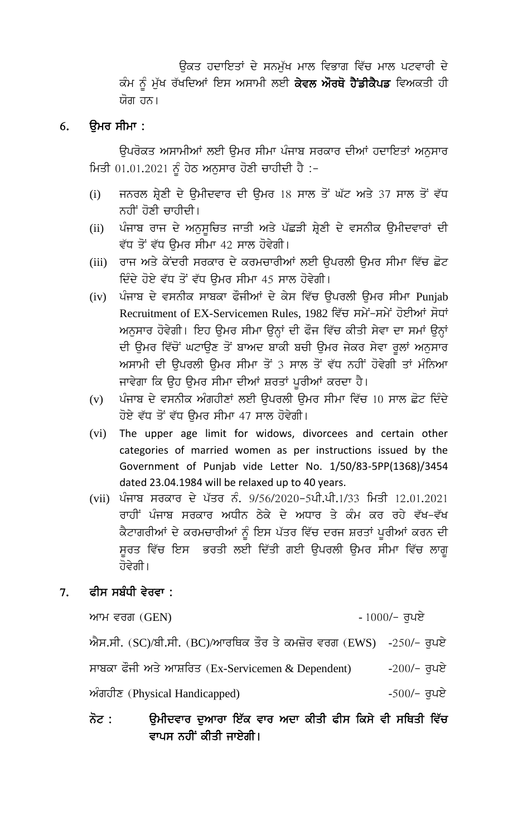ਓਕਤ ਹਦਾਇਤਾਂ ਦੇ ਸਨਮੱਖ ਮਾਲ ਵਿਭਾਗ ਵਿੱਚ ਮਾਲ ਪਟਵਾਰੀ ਦੇ ਕੰਮ ਨੂੰ ਮੁੱਖ ਰੱਖਦਿਆਂ ਇਸ ਅਸਾਮੀ ਲਈ **ਕੇਵਲ ਔਰਥੋ ਹੈਂਡੀਕੈਪਡ** ਵਿਅਕਤੀ ਹੀ ਯੋਗ ਹਨ।

### ੳਮਰ ਸੀਮਾ : 6.

ਉਪਰੋਕਤ ਅਸਾਮੀਆਂ ਲਈ ਉਮਰ ਸੀਮਾ ਪੰਜਾਬ ਸਰਕਾਰ ਦੀਆਂ ਹਦਾਇਤਾਂ ਅਨੁਸਾਰ ਮਿਤੀ 01.01.2021 ਨੂੰ ਹੇਠ ਅਨੁਸਾਰ ਹੋਣੀ ਚਾਹੀਦੀ ਹੈ :-

- ਜਨਰਲ ਸ਼੍ਰੇਣੀ ਦੇ ਉਮੀਦਵਾਰ ਦੀ ਉਮਰ 18 ਸਾਲ ਤੋਂ ਘੱਟ ਅਤੇ 37 ਸਾਲ ਤੋਂ ਵੱਧ  $(i)$ ਨਹੀਂ ਹੋਣੀ ਚਾਹੀਦੀ।
- ਪੰਜਾਬ ਰਾਜ ਦੇ ਅਨੁਸੁਚਿਤ ਜਾਤੀ ਅਤੇ ਪੱਛੜੀ ਸ਼੍ਰੇਣੀ ਦੇ ਵਸਨੀਕ ਉਮੀਦਵਾਰਾਂ ਦੀ  $(ii)$ ਵੱਧ ਤੋਂ ਵੱਧ ਉਮਰ ਸੀਮਾ 42 ਸਾਲ ਹੋਵੇਗੀ।
- (iii) ਰਾਜ ਅਤੇ ਕੇਂਦਰੀ ਸਰਕਾਰ ਦੇ ਕਰਮਚਾਰੀਆਂ ਲਈ ਉਪਰਲੀ ਉਮਰ ਸੀਮਾ ਵਿੱਚ ਛੋਟ ਦਿੰਦੇ ਹੋਏ ਵੱਧ ਤੋਂ ਵੱਧ ਉਮਰ ਸੀਮਾ 45 ਸਾਲ ਹੋਵੇਗੀ।
- (iv) ਪੰਜਾਬ ਦੇ ਵਸਨੀਕ ਸਾਬਕਾ ਫੌਜੀਆਂ ਦੇ ਕੇਸ ਵਿੱਚ ਉਪਰਲੀ ਉਮਰ ਸੀਮਾ Punjab Recruitment of EX-Servicemen Rules, 1982 ਵਿੱਚ ਸਮੇਂ-ਸਮੇਂ ਹੋਈਆਂ ਸੋਧਾਂ ਅਨੁਸਾਰ ਹੋਵੇਗੀ। ਇਹ ਉਮਰ ਸੀਮਾ ਉਨ੍ਹਾਂ ਦੀ ਫੌਜ ਵਿੱਚ ਕੀਤੀ ਸੇਵਾ ਦਾ ਸਮਾਂ ਉਨ੍ਹਾਂ ਦੀ ਉਮਰ ਵਿੱਚੋਂ ਘਟਾਉਣ ਤੋਂ ਬਾਅਦ ਬਾਕੀ ਬਚੀ ਉਮਰ ਜੇਕਰ ਸੇਵਾ ਰੂਲਾਂ ਅਨੁਸਾਰ ਅਸਾਮੀ ਦੀ ਉਪਰਲੀ ਉਮਰ ਸੀਮਾ ਤੋਂ 3 ਸਾਲ ਤੋਂ ਵੱਧ ਨਹੀਂ ਹੋਵੇਗੀ ਤਾਂ ਮੰਨਿਆ ਜਾਵੇਗਾ ਕਿ ਉਹ ਉਮਰ ਸੀਮਾ ਦੀਆਂ ਸ਼ਰਤਾਂ ਪੁਰੀਆਂ ਕਰਦਾ ਹੈ।
- ਪੰਜਾਬ ਦੇ ਵਸਨੀਕ ਅੰਗਹੀਣਾਂ ਲਈ ਉਪਰਲੀ ਉਮਰ ਸੀਮਾ ਵਿੱਚ 10 ਸਾਲ ਛੋਟ ਦਿੰਦੇ  $(v)$ ਹੋਏ ਵੱਧ ਤੋਂ ਵੱਧ ਉਮਰ ਸੀਮਾ 47 ਸਾਲ ਹੋਵੇਗੀ।
- (vi) The upper age limit for widows, divorcees and certain other categories of married women as per instructions issued by the Government of Punjab vide Letter No. 1/50/83-5PP(1368)/3454 dated 23.04.1984 will be relaxed up to 40 years.
- (vii) ਪੰਜਾਬ ਸਰਕਾਰ ਦੇ ਪੱਤਰ ਨੰ. 9/56/2020-5ਪੀ.ਪੀ.1/33 ਮਿਤੀ 12.01.2021 ਰਾਹੀਂ ਪੰਜਾਬ ਸਰਕਾਰ ਅਧੀਨ ਠੇਕੇ ਦੇ ਅਧਾਰ ਤੇ ਕੰਮ ਕਰ ਰਹੇ ਵੱਖ-ਵੱਖ ਕੈਟਾਗਰੀਆਂ ਦੇ ਕਰਮਚਾਰੀਆਂ ਨੂੰ ਇਸ ਪੱਤਰ ਵਿੱਚ ਦਰਜ ਸ਼ਰਤਾਂ ਪੁਰੀਆਂ ਕਰਨ ਦੀ ਸੁਰਤ ਵਿੱਚ ਇਸ ਭਰਤੀ ਲਈ ਦਿੱਤੀ ਗਈ ਉਪਰਲੀ ਉਮਰ ਸੀਮਾ ਵਿੱਚ ਲਾਗੁ ਹੋਵੇਗੀ ।

### ਫੀਸ ਸਬੰਧੀ ਵੇਰਵਾ : 7.

ਆਮ ਵਰਗ $(GEN)$ 

-  $1000/-$  ਰੁਪਏ

 $-500/-$  ਰਪਏ

ਐਸ.ਸੀ. (SC)/ਬੀ.ਸੀ. (BC)/ਆਰਥਿਕ ਤੌਰ ਤੇ ਕਮਜ਼ੋਰ ਵਰਗ (EWS) -250/- ਰੁਪਏ

ਸਾਬਕਾ ਫੌਜੀ ਅਤੇ ਆਸ਼ਰਿਤ (Ex-Servicemen & Dependent)  $-200/-$  ਰੁਪਏ

ਅੰਗਹੀਣ (Physical Handicapped)

## ੳਮੀਦਵਾਰ ਦਆਰਾ ਇੱਕ ਵਾਰ ਅਦਾ ਕੀਤੀ ਫੀਸ ਕਿਸੇ ਵੀ ਸਥਿਤੀ ਵਿੱਚ ਨੋਟ : ਵਾਪਸ ਨਹੀਂ ਕੀਤੀ ਜਾਏਗੀ।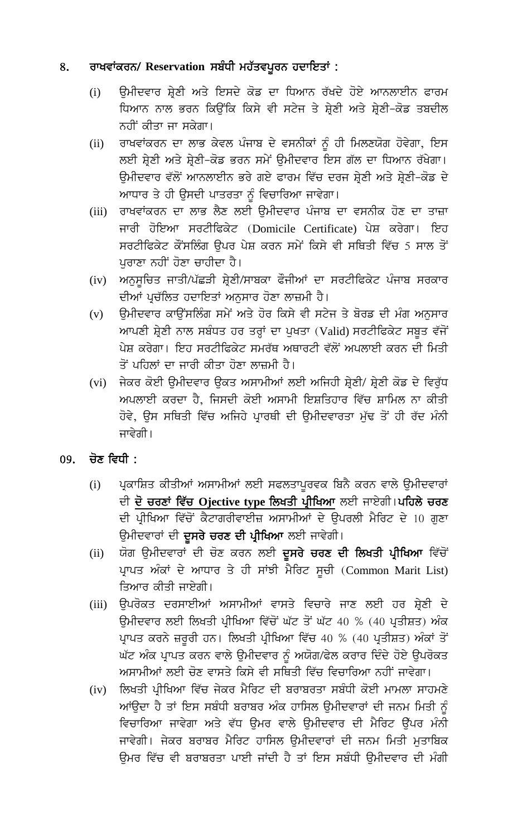### ਰਾਖਵਾਂਕਰਨ/ Reservation ਸਬੰਧੀ ਮਹੱਤਵਪੂਰਨ ਹਦਾਇਤਾਂ: 8.

- ਉਮੀਦਵਾਰ ਸ਼੍ਰੇਣੀ ਅਤੇ ਇਸਦੇ ਕੋਡ ਦਾ ਧਿਆਨ ਰੱਖਦੇ ਹੋਏ ਆਨਲਾਈਨ ਫਾਰਮ  $(i)$ ਧਿਆਨ ਨਾਲ ਭਰਨ ਕਿਉਂਕਿ ਕਿਸੇ ਵੀ ਸਟੇਜ ਤੇ ਸ਼੍ਰੇਣੀ ਅਤੇ ਸ਼੍ਰੇਣੀ-ਕੋਡ ਤਬਦੀਲ ਨਹੀਂ ਕੀਤਾ ਜਾ ਸਕੇਗਾ।
- ਰਾਖਵਾਂਕਰਨ ਦਾ ਲਾਭ ਕੇਵਲ ਪੰਜਾਬ ਦੇ ਵਸਨੀਕਾਂ ਨੂੰ ਹੀ ਮਿਲਣਯੋਗ ਹੋਵੇਗਾ, ਇਸ  $(ii)$ ਲਈ ਸ਼੍ਰੇਣੀ ਅਤੇ ਸ਼੍ਰੇਣੀ-ਕੋਡ ਭਰਨ ਸਮੇਂ ਉਮੀਦਵਾਰ ਇਸ ਗੱਲ ਦਾ ਧਿਆਨ ਰੱਖੇਗਾ। ਉਮੀਦਵਾਰ ਵੱਲੋਂ ਆਨਲਾਈਨ ਭਰੇ ਗਏ ਫਾਰਮ ਵਿੱਚ ਦਰਜ ਸ਼੍ਰੇਣੀ ਅਤੇ ਸ਼੍ਰੇਣੀ-ਕੋਡ ਦੇ ਆਧਾਰ ਤੇ ਹੀ ਉਸਦੀ ਪਾਤਰਤਾ ਨੂੰ ਵਿਚਾਰਿਆ ਜਾਵੇਗਾ।
- ਰਾਖਵਾਂਕਰਨ ਦਾ ਲਾਭ ਲੈਣ ਲਈ ਉਮੀਦਵਾਰ ਪੰਜਾਬ ਦਾ ਵਸਨੀਕ ਹੋਣ ਦਾ ਤਾਜ਼ਾ  $(iii)$ ਜਾਰੀ ਹੋਇਆ ਸਰਟੀਫਿਕੇਟ (Domicile Certificate) ਪੇਸ਼ ਕਰੇਗਾ। ਇਹ ਸਰਟੀਫਿਕੇਟ ਕੌਂਸਲਿੰਗ ਉਪਰ ਪੇਸ਼ ਕਰਨ ਸਮੇਂ ਕਿਸੇ ਵੀ ਸਥਿਤੀ ਵਿੱਚ 5 ਸਾਲ ਤੋਂ ਪਰਾਣਾ ਨਹੀਂ ਹੋਣਾ ਚਾਹੀਦਾ ਹੈ।
- ਅਨੁਸੂਚਿਤ ਜਾਤੀ/ਪੱਛੜੀ ਸ਼੍ਰੇਣੀ/ਸਾਬਕਾ ਫੌਜੀਆਂ ਦਾ ਸਰਟੀਫਿਕੇਟ ਪੰਜਾਬ ਸਰਕਾਰ  $(iv)$ ਦੀਆਂ ਪ੍ਰਚੱਲਿਤ ਹਦਾਇਤਾਂ ਅਨੁਸਾਰ ਹੋਣਾ ਲਾਜ਼ਮੀ ਹੈ।
- ਉਮੀਦਵਾਰ ਕਾਊਂਸਲਿੰਗ ਸਮੇਂ ਅਤੇ ਹੋਰ ਕਿਸੇ ਵੀ ਸਟੇਜ ਤੇ ਬੋਰਡ ਦੀ ਮੰਗ ਅਨੁਸਾਰ  $(v)$ ਆਪਣੀ ਸ਼੍ਰੇਣੀ ਨਾਲ ਸਬੰਧਤ ਹਰ ਤਰ੍ਹਾਂ ਦਾ ਪੁਖਤਾ (Valid) ਸਰਟੀਫਿਕੇਟ ਸਬੂਤ ਵੱਜੋਂ ਪੇਸ਼ ਕਰੇਗਾ। ਇਹ ਸਰਟੀਫਿਕੇਟ ਸਮਰੱਥ ਅਥਾਰਟੀ ਵੱਲੋਂ ਅਪਲਾਈ ਕਰਨ ਦੀ ਮਿਤੀ ਤੋਂ ਪਹਿਲਾਂ ਦਾ ਜਾਰੀ ਕੀਤਾ ਹੋਣਾ ਲਾਜ਼ਮੀ ਹੈ।
- (vi) ਜੇਕਰ ਕੋਈ ਉਮੀਦਵਾਰ ਉਕਤ ਅਸਾਮੀਆਂ ਲਈ ਅਜਿਹੀ ਸ਼੍ਰੇਣੀ/ ਸ਼੍ਰੇਣੀ ਕੋਡ ਦੇ ਵਿਰੁੱਧ ਅਪਲਾਈ ਕਰਦਾ ਹੈ, ਜਿਸਦੀ ਕੋਈ ਅਸਾਮੀ ਇਸ਼ਤਿਹਾਰ ਵਿੱਚ ਸ਼ਾਮਿਲ ਨਾ ਕੀਤੀ ਹੋਵੇ, ਉਸ ਸਥਿਤੀ ਵਿੱਚ ਅਜਿਹੇ ਪਾਰਥੀ ਦੀ ਉਮੀਦਵਾਰਤਾ ਮੱਢ ਤੋਂ ਹੀ ਰੱਦ ਮੰਨੀ ਜਾਵੇਗੀ।

### ਚੋਣ ਵਿਧੀ : 09.

- ਪ੍ਰਕਾਸ਼ਿਤ ਕੀਤੀਆਂ ਅਸਾਮੀਆਂ ਲਈ ਸਫਲਤਾਪੂਰਵਕ ਬਿਨੈ ਕਰਨ ਵਾਲੇ ਉਮੀਦਵਾਰਾਂ  $(i)$ ਦੀ <mark>ਦੋ ਚਰਣਾਂ ਵਿੱਚ Ojective type ਲਿਖਤੀ ਪ੍ਰੀਖਿਆ</mark> ਲਈ ਜਾਏਗੀ।ਪਹਿਲੇ ਚਰਣ ਦੀ ਪ੍ਰੀਖਿਆ ਵਿੱਚੋਂ ਕੈਟਾਗਰੀਵਾਈਜ਼ ਅਸਾਮੀਆਂ ਦੇ ਉਪਰਲੀ ਮੈਰਿਟ ਦੇ 10 ਗੁਣਾ ਉਮੀਦਵਾਰਾਂ ਦੀ **ਦੂਸਰੇ ਚਰਣ ਦੀ ਪ੍ਰੀਖਿਆ** ਲਈ ਜਾਵੇਗੀ।
- ਯੋਗ ਉਮੀਦਵਾਰਾਂ ਦੀ ਚੋਣ ਕਰਨ ਲਈ ਦੁਸਰੇ ਚਰਣ ਦੀ ਲਿਖਤੀ ਪ੍ਰੀਖਿਆ ਵਿੱਚੋਂ  $(ii)$ ਪ੍ਰਾਪਤ ਅੰਕਾਂ ਦੇ ਆਧਾਰ ਤੇ ਹੀ ਸਾਂਝੀ ਮੈਰਿਟ ਸੂਚੀ (Common Marit List) ਤਿਆਰ ਕੀਤੀ ਜਾਏਗੀ।
- ਉਪਰੋਕਤ ਦਰਸਾਈਆਂ ਅਸਾਮੀਆਂ ਵਾਸਤੇ ਵਿਚਾਰੇ ਜਾਣ ਲਈ ਹਰ ਸ਼੍ਰੇਣੀ ਦੇ  $(iii)$ ਉਮੀਦਵਾਰ ਲਈ ਲਿਖਤੀ ਪ੍ਰੀਖਿਆ ਵਿੱਚੋਂ ਘੱਟ ਤੋਂ ਘੱਟ 40 % (40 ਪ੍ਰਤੀਸ਼ਤ) ਅੰਕ ਪ੍ਰਾਪਤ ਕਰਨੇ ਜ਼ਰੂਰੀ ਹਨ। ਲਿਖਤੀ ਪ੍ਰੀਖਿਆ ਵਿੱਚ 40 % (40 ਪ੍ਰਤੀਸ਼ਤ) ਅੰਕਾਂ ਤੋਂ ਘੱਟ ਅੰਕ ਪ੍ਰਾਪਤ ਕਰਨ ਵਾਲੇ ਉਮੀਦਵਾਰ ਨੂੰ ਅਯੋਗ/ਫੇਲ ਕਰਾਰ ਦਿੰਦੇ ਹੋਏ ਉਪਰੋਕਤ ਅਸਾਮੀਆਂ ਲਈ ਚੋਣ ਵਾਸਤੇ ਕਿਸੇ ਵੀ ਸਥਿਤੀ ਵਿੱਚ ਵਿਚਾਰਿਆ ਨਹੀਂ ਜਾਵੇਗਾ।
- ਲਿਖਤੀ ਪ੍ਰੀਖਿਆ ਵਿੱਚ ਜੇਕਰ ਮੈਰਿਟ ਦੀ ਬਰਾਬਰਤਾ ਸਬੰਧੀ ਕੋਈ ਮਾਮਲਾ ਸਾਹਮਣੇ  $(iv)$ ਆਂਉਦਾ ਹੈ ਤਾਂ ਇਸ ਸਬੰਧੀ ਬਰਾਬਰ ਅੰਕ ਹਾਸਿਲ ਉਮੀਦਵਾਰਾਂ ਦੀ ਜਨਮ ਮਿਤੀ ਨੂੰ ਵਿਚਾਰਿਆ ਜਾਵੇਗਾ ਅਤੇ ਵੱਧ ਉਮਰ ਵਾਲੇ ਉਮੀਦਵਾਰ ਦੀ ਮੈਰਿਟ ਉੱਪਰ ਮੰਨੀ ਜਾਵੇਗੀ। ਜੇਕਰ ਬਰਾਬਰ ਮੈਰਿਟ ਹਾਸਿਲ ਉਮੀਦਵਾਰਾਂ ਦੀ ਜਨਮ ਮਿਤੀ ਮਤਾਬਿਕ ਉਮਰ ਵਿੱਚ ਵੀ ਬਰਾਬਰਤਾ ਪਾਈ ਜਾਂਦੀ ਹੈ ਤਾਂ ਇਸ ਸਬੰਧੀ ਉਮੀਦਵਾਰ ਦੀ ਮੰਗੀ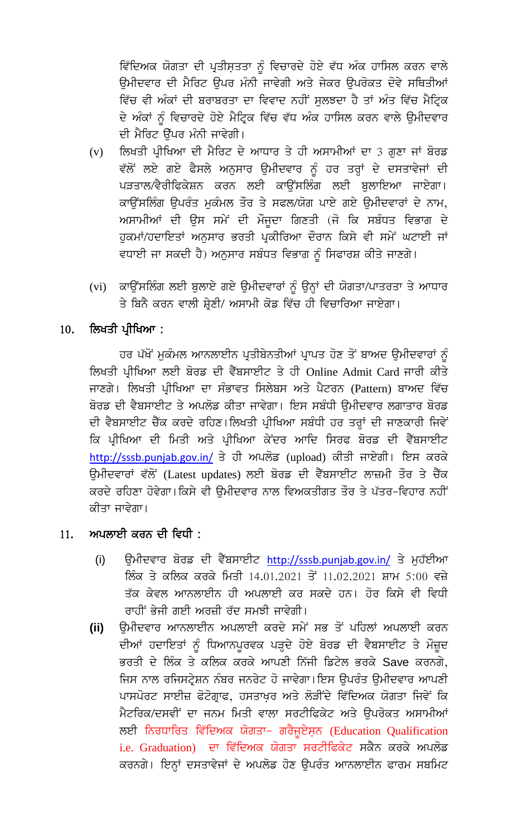ਵਿੱਦਿਅਕ ਯੋਗਤਾ ਦੀ ਪ੍ਰਤੀਸ਼ਤਤਾ ਨੂੰ ਵਿਚਾਰਦੇ ਹੋਏ ਵੱਧ ਅੰਕ ਹਾਸਿਲ ਕਰਨ ਵਾਲੇ ਉਮੀਦਵਾਰ ਦੀ ਮੈਰਿਟ ਉਪਰ ਮੰਨੀ ਜਾਵੇਗੀ ਅਤੇ ਜੇਕਰ ਉਪਰੋਕਤ ਦੋਵੇ ਸਥਿਤੀਆਂ ਵਿੱਚ ਵੀ ਅੰਕਾਂ ਦੀ ਬਰਾਬਰਤਾ ਦਾ ਵਿਵਾਦ ਨਹੀਂ ਸੁਲਝਦਾ ਹੈ ਤਾਂ ਅੰਤ ਵਿੱਚ ਮੈਟ੍ਰਿਕ ਦੇ ਅੰਕਾਂ ਨੂੰ ਵਿਚਾਰਦੇ ਹੋਏ ਮੈਟ੍ਰਿਕ ਵਿੱਚ ਵੱਧ ਅੰਕ ਹਾਸਿਲ ਕਰਨ ਵਾਲੇ ਉਮੀਦਵਾਰ ਦੀ ਮੈਰਿਟ ਉੱਪਰ ਮੰਨੀ ਜਾਵੇਗੀ।

- ਲਿਖਤੀ ਪ੍ਰੀਖਿਆ ਦੀ ਮੈਰਿਟ ਦੇ ਆਧਾਰ ਤੇ ਹੀ ਅਸਾਮੀਆਂ ਦਾ 3 ਗੁਣਾ ਜਾਂ ਬੋਰਡ  $(v)$ ਵੱਲੋਂ ਲਏ ਗਏ ਫੈਸਲੇ ਅਨੁਸਾਰ ਉਮੀਦਵਾਰ ਨੂੰ ਹਰ ਤਰ੍ਹਾਂ ਦੇ ਦਸਤਾਵੇਜਾਂ ਦੀ ਪੜਤਾਲ/ਵੈਰੀਫਿਕੇਸ਼ਨ ਕਰਨ ਲਈ ਕਾਉਂਸਲਿੰਗ ਲਈ ਬਲਾਇਆ ਜਾਏਗਾ। ਕਾਉਂਸਲਿੰਗ ਉਪਰੰਤ ਮੁਕੰਮਲ ਤੌਰ ਤੇ ਸਫਲ/ਯੋਗ ਪਾਏ ਗਏ ਉਮੀਦਵਾਰਾਂ ਦੇ ਨਾਮ, ਅਸਾਮੀਆਂ ਦੀ ਉਸ ਸਮੇਂ ਦੀ ਮੌਜਦਾ ਗਿਣਤੀ (ਜੋ ਕਿ ਸਬੰਧਤ ਵਿਭਾਗ ਦੇ ਹੁਕਮਾਂ/ਹਦਾਇਤਾਂ ਅਨੁਸਾਰ ਭਰਤੀ ਪ੍ਰਕੀਰਿਆ ਦੌਰਾਨ ਕਿਸੇ ਵੀ ਸਮੇਂ ਘਟਾਈ ਜਾਂ ਵਧਾਈ ਜਾ ਸਕਦੀ ਹੈ) ਅਨਸਾਰ ਸਬੰਧਤ ਵਿਭਾਗ ਨੰ ਸਿਫਾਰਸ਼ ਕੀਤੇ ਜਾਣਗੇ।
- ਕਾਉਂਸਲਿੰਗ ਲਈ ਬੁਲਾਏ ਗਏ ਉਮੀਦਵਾਰਾਂ ਨੂੰ ਉਨ੍ਹਾਂ ਦੀ ਯੋਗਤਾ/ਪਾਤਰਤਾ ਤੇ ਆਧਾਰ  $(vi)$ ਤੇ ਬਿਨੈ ਕਰਨ ਵਾਲੀ ਸ਼੍ਰੇਣੀ/ ਅਸਾਮੀ ਕੋਡ ਵਿੱਚ ਹੀ ਵਿਚਾਰਿਆ ਜਾਏਗਾ।

### ਲਿਖਤੀ ਪ੍ਰੀਖਿਆ : 10.

ਹਰ ਪੱਖੋਂ ਮੁਕੰਮਲ ਆਨਲਾਈਨ ਪ੍ਰਤੀਬੇਨਤੀਆਂ ਪ੍ਰਾਪਤ ਹੋਣ ਤੋਂ ਬਾਅਦ ਉਮੀਦਵਾਰਾਂ ਨੂੰ ਲਿਖਤੀ ਪ੍ਰੀਖਿਆ ਲਈ ਬੋਰਡ ਦੀ ਵੈੱਬਸਾਈਟ ਤੇ ਹੀ Online Admit Card ਜਾਰੀ ਕੀਤੇ ਜਾਣਗੇ। ਲਿਖਤੀ ਪੀਖਿਆ ਦਾ ਸੰਭਾਵਤ ਸਿਲੇਬਸ ਅਤੇ ਪੈਟਰਨ (Pattern) ਬਾਅਦ ਵਿੱਚ ਬੋਰਡ ਦੀ ਵੈਬਸਾਈਟ ਤੇ ਅਪਲੋਡ ਕੀਤਾ ਜਾਵੇਗਾ। ਇਸ ਸਬੰਧੀ ੳਮੀਦਵਾਰ ਲਗਾਤਾਰ ਬੋਰਡ ਦੀ ਵੈਬਸਾਈਟ ਚੈੱਕ ਕਰਦੇ ਰਹਿਣ। ਲਿਖਤੀ ਪ੍ਰੀਖਿਆ ਸਬੰਧੀ ਹਰ ਤਰ੍ਹਾਂ ਦੀ ਜਾਣਕਾਰੀ ਜਿਵੇਂ ਕਿ ਪ੍ਰੀਖਿਆ ਦੀ ਮਿਤੀ ਅਤੇ ਪ੍ਰੀਖਿਆ ਕੇਂਦਰ ਆਦਿ ਸਿਰਫ ਬੋਰਡ ਦੀ ਵੈੱਬਸਾਈਟ http://sssb.punjab.gov.in/ ਤੇ ਹੀ ਅਪਲੋਡ (upload) ਕੀਤੀ ਜਾਏਗੀ। ਇਸ ਕਰਕੇ ਉਮੀਦਵਾਰਾਂ ਵੱਲੋਂ (Latest updates) ਲਈ ਬੋਰਡ ਦੀ ਵੈੱਬਸਾਈਟ ਲਾਜ਼ਮੀ ਤੌਰ ਤੇ ਚੈੱਕ ਕਰਦੇ ਰਹਿਣਾ ਹੋਵੇਗਾ।ਕਿਸੇ ਵੀ ੳਮੀਦਵਾਰ ਨਾਲ ਵਿਅਕਤੀਗਤ ਤੌਰ ਤੇ ਪੱਤਰ-ਵਿਹਾਰ ਨਹੀਂ ਕੀਤਾ ਜਾਵੇਗਾ।

### ਅਪਲਾਈ ਕਰਨ ਦੀ ਵਿਧੀ : 11.

- ਉਮੀਦਵਾਰ ਬੋਰਡ ਦੀ ਵੈੱਬਸਾਈਟ http://sssb.punjab.gov.in/ ਤੇ ਮੁਹੱਈਆ  $(i)$ ਲਿੰਕ ਤੇ ਕਲਿਕ ਕਰਕੇ ਮਿਤੀ 14.01.2021 ਤੋਂ 11.02.2021 ਸ਼ਾਮ 5:00 ਵਜ਼ੇ ਤੱਕ ਕੇਵਲ ਆਨਲਾਈਨ ਹੀ ਅਪਲਾਈ ਕਰ ਸਕਦੇ ਹਨ। ਹੋਰ ਕਿਸੇ ਵੀ ਵਿਧੀ ਰਾਹੀਂ ਭੇਜੀ ਗਈ ਅਰਜ਼ੀ ਰੱਦ ਸਮਝੀ ਜਾਵੇਗੀ।
- ਉਮੀਦਵਾਰ ਆਨਲਾਈਨ ਅਪਲਾਈ ਕਰਦੇ ਸਮੇਂ ਸਭ ਤੋਂ ਪਹਿਲਾਂ ਅਪਲਾਈ ਕਰਨ  $(ii)$ ਦੀਆਂ ਹਦਾਇਤਾਂ ਨੂੰ ਧਿਆਨਪੂਰਵਕ ਪੜ੍ਹਦੇ ਹੋਏ ਬੋਰਡ ਦੀ ਵੈਬਸਾਈਟ ਤੇ ਮੌਜ਼ੂਦ ਭਰਤੀ ਦੇ ਲਿੰਕ ਤੇ ਕਲਿਕ ਕਰਕੇ ਆਪਣੀ ਨਿੱਜੀ ਡਿਟੇਲ ਭਰਕੇ Save ਕਰਨਗੇ, ਜਿਸ ਨਾਲ ਰਜਿਸਟ੍ਰੇਸ਼ਨ ਨੰਬਰ ਜਨਰੇਟ ਹੋ ਜਾਵੇਗਾ।ਇਸ ਉਪਰੰਤ ਉਮੀਦਵਾਰ ਆਪਣੀ ਪਾਸਪੋਰਟ ਸਾਈਜ਼ ਫੋਟੋਗ੍ਰਾਫ, ਹਸਤਾਖ਼ਰ ਅਤੇ ਲੋੜੀਂਦੇ ਵਿੱਦਿਅਕ ਯੋਗਤਾ ਜਿਵੇਂ ਕਿ ਮੈਟਰਿਕ/ਦਸਵੀਂ ਦਾ ਜਨਮ ਮਿਤੀ ਵਾਲਾ ਸਰਟੀਫਿਕੇਟ ਅਤੇ ੳਪਰੋਕਤ ਅਸਾਮੀਆਂ ਲਈ ਨਿਰਧਾਰਿਤ ਵਿੱਦਿਅਕ ਯੋਗਤਾ- ਗਰੈਜੁਏਸ਼ਨ (Education Qualification i.e. Graduation) ਦਾ ਵਿੱਦਿਅਕ ਯੋਗਤਾ ਸਰਟੀਫਿਕੇਟ ਸਕੈਨ ਕਰਕੇ ਅਪਲੋਡ ਕਰਨਗੇ। ਇਨ੍ਹਾਂ ਦਸਤਾਵੇਜਾਂ ਦੇ ਅਪਲੋਡ ਹੋਣ ਉਪਰੰਤ ਆਨਲਾਈਨ ਫਾਰਮ ਸਬਮਿਟ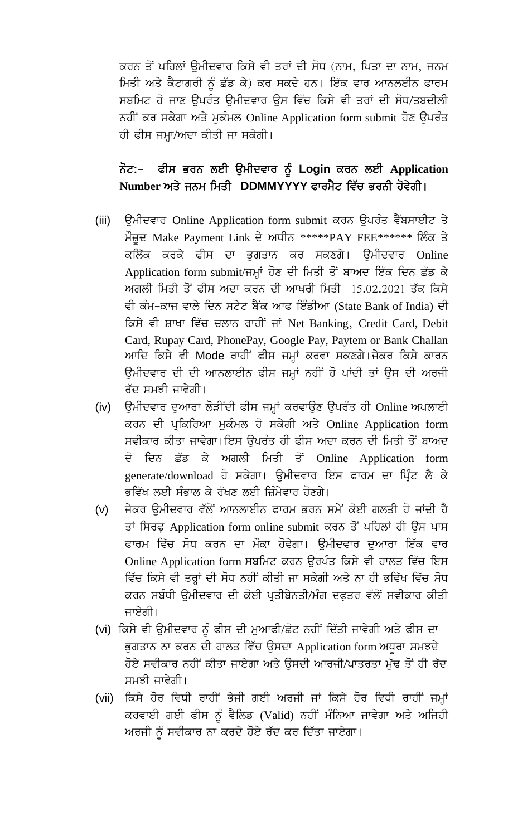ਕਰਨ ਤੋਂ ਪਹਿਲਾਂ ੳਮੀਦਵਾਰ ਕਿਸੇ ਵੀ ਤਰਾਂ ਦੀ ਸੋਧ (ਨਾਮ, ਪਿਤਾ ਦਾ ਨਾਮ, ਜਨਮ ਮਿਤੀ ਅਤੇ ਕੈਟਾਗਰੀ ਨੂੰ ਛੱਡ ਕੇ) ਕਰ ਸਕਦੇ ਹਨ। ਇੱਕ ਵਾਰ ਆਨਲਈਨ ਫਾਰਮ ਸਬਮਿਟ ਹੋ ਜਾਣ ਉਪਰੰਤ ਉਮੀਦਵਾਰ ਉਸ ਵਿੱਚ ਕਿਸੇ ਵੀ ਤਰਾਂ ਦੀ ਸੋਧ/ਤਬਦੀਲੀ ਨਹੀਂ ਕਰ ਸਕੇਗਾ ਅਤੇ ਮੁਕੰਮਲ Online Application form submit ਹੋਣ ਉਪਰੰਤ ਹੀ ਫੀਸ ਜਮ੍ਹਾ/ਅਦਾ ਕੀਤੀ ਜਾ ਸਕੇਗੀ।

## ਨੋਟ:– ਫੀਸ ਭਰਨ ਲਈ ਉਮੀਦਵਾਰ ਨੂੰ Login ਕਰਨ ਲਈ Application Number ਅਤੇ ਜਨਮ ਮਿਤੀ DDMMYYYY ਫਾਰਮੈਟ ਵਿੱਚ ਭਰਨੀ ਹੋਵੇਗੀ।

- ਉਮੀਦਵਾਰ Online Application form submit ਕਰਨ ਉਪਰੰਤ ਵੈੱਬਸਾਈਟ ਤੇ  $(iii)$ ਮੌਜ਼ੂਦ Make Payment Link ਦੇ ਅਧੀਨ \*\*\*\*\*PAY FEE\*\*\*\*\*\* ਲਿੰਕ ਤੇ ਕਲਿੱਕ ਕਰਕੇ ਫੀਸ ਦਾ ਭੁਗਤਾਨ ਕਰ ਸਕਣਗੇ। ਉਮੀਦਵਾਰ Online Application form submit/ਜਮ੍ਹਾਂ ਹੋਣ ਦੀ ਮਿਤੀ ਤੋਂ ਬਾਅਦ ਇੱਕ ਦਿਨ ਛੱਡ ਕੇ ਅਗਲੀ ਮਿਤੀ ਤੋਂ ਫੀਸ ਅਦਾ ਕਰਨ ਦੀ ਆਖਰੀ ਮਿਤੀ 15.02.2021 ਤੱਕ ਕਿਸੇ ਵੀ ਕੰਮ-ਕਾਜ ਵਾਲੇ ਦਿਨ ਸਟੇਟ ਬੈਂਕ ਆਫ ਇੰਡੀਆ (State Bank of India) ਦੀ ਕਿਸੇ ਵੀ ਸ਼ਾਖਾ ਵਿੱਚ ਚਲਾਨ ਰਾਹੀਂ ਜਾਂ Net Banking, Credit Card, Debit Card, Rupay Card, PhonePay, Google Pay, Paytem or Bank Challan ਆਦਿ ਕਿਸੇ ਵੀ Mode ਰਾਹੀਂ ਫੀਸ ਜਮ੍ਹਾਂ ਕਰਵਾ ਸਕਣਗੇ।ਜੇਕਰ ਕਿਸੇ ਕਾਰਨ ਉਮੀਦਵਾਰ ਦੀ ਦੀ ਆਨਲਾਈਨ ਫੀਸ ਜਮ੍ਹਾਂ ਨਹੀਂ ਹੋ ਪਾਂਦੀ ਤਾਂ ਉਸ ਦੀ ਅਰਜੀ ਰੱਦ ਸਮਝੀ ਜਾਵੇਗੀ।
- ਉਮੀਦਵਾਰ ਦੁਆਰਾ ਲੋੜੀਂਦੀ ਫੀਸ ਜਮ੍ਹਾਂ ਕਰਵਾਉਣ ਉਪਰੰਤ ਹੀ Online ਅਪਲਾਈ  $(iv)$ ਕਰਨ ਦੀ ਪ੍ਰਕਿਰਿਆ ਮੁਕੰਮਲ ਹੋ ਸਕੇਗੀ ਅਤੇ Online Application form ਸਵੀਕਾਰ ਕੀਤਾ ਜਾਵੇਗਾ।ਇਸ ੳਪਰੰਤ ਹੀ ਫੀਸ ਅਦਾ ਕਰਨ ਦੀ ਮਿਤੀ ਤੋਂ ਬਾਅਦ ਦਿਨ ਛੱਡ ਕੇ ਅਗਲੀ ਮਿਤੀ ਤੋਂ Online Application form ਜ਼ੋ generate/download ਹੋ ਸਕੇਗਾ। ਉਮੀਦਵਾਰ ਇਸ ਫਾਰਮ ਦਾ ਪਿੰਟ ਲੈ ਕੇ ਭਵਿੱਖ ਲਈ ਸੰਭਾਲ ਕੇ ਰੱਖਣ ਲਈ ਜ਼ਿੰਮੇਵਾਰ ਹੋਣਗੇ।
- ਜੇਕਰ ਉਮੀਦਵਾਰ ਵੱਲੋਂ ਆਨਲਾਈਨ ਫਾਰਮ ਭਰਨ ਸਮੇਂ ਕੋਈ ਗਲਤੀ ਹੋ ਜਾਂਦੀ ਹੈ  $(v)$ ਤਾਂ ਸਿਰਫ਼ Application form online submit ਕਰਨ ਤੋਂ ਪਹਿਲਾਂ ਹੀ ਉਸ ਪਾਸ ਫਾਰਮ ਵਿੱਚ ਸੋਧ ਕਰਨ ਦਾ ਮੌਕਾ ਹੋਵੇਗਾ। ੳਮੀਦਵਾਰ ਦਆਰਾ ਇੱਕ ਵਾਰ Online Application form ਸਬਮਿਟ ਕਰਨ ਉਰਪੰਤ ਕਿਸੇ ਵੀ ਹਾਲਤ ਵਿੱਚ ਇਸ ਵਿੱਚ ਕਿਸੇ ਵੀ ਤਰ੍ਹਾਂ ਦੀ ਸੋਧ ਨਹੀਂ ਕੀਤੀ ਜਾ ਸਕੇਗੀ ਅਤੇ ਨਾ ਹੀ ਭਵਿੱਖ ਵਿੱਚ ਸੋਧ ਕਰਨ ਸਬੰਧੀ ੳਮੀਦਵਾਰ ਦੀ ਕੋਈ ਪ੍ਰਤੀਬੇਨਤੀ/ਮੰਗ ਦਫ਼ਤਰ ਵੱਲੋਂ ਸਵੀਕਾਰ ਕੀਤੀ ਜਾਏਗੀ।
- (vi) ਕਿਸੇ ਵੀ ਉਮੀਦਵਾਰ ਨੂੰ ਫੀਸ ਦੀ ਮੁਆਫੀ/ਛੋਟ ਨਹੀਂ ਦਿੱਤੀ ਜਾਵੇਗੀ ਅਤੇ ਫੀਸ ਦਾ ਭੁਗਤਾਨ ਨਾ ਕਰਨ ਦੀ ਹਾਲਤ ਵਿੱਚ ਉਸਦਾ Application form ਅਧੁਰਾ ਸਮਝਦੇ ਹੋਏ ਸਵੀਕਾਰ ਨਹੀਂ ਕੀਤਾ ਜਾਏਗਾ ਅਤੇ ਉਸਦੀ ਆਰਜੀ/ਪਾਤਰਤਾ ਮੁੱਢ ਤੋਂ ਹੀ ਰੱਦ ਸਮਝੀ ਜਾਵੇਗੀ।
- ਕਿਸੇ ਹੋਰ ਵਿਧੀ ਰਾਹੀਂ ਭੇਜੀ ਗਈ ਅਰਜੀ ਜਾਂ ਕਿਸੇ ਹੋਰ ਵਿਧੀ ਰਾਹੀਂ ਜਮ੍ਹਾਂ  $(vii)$ ਕਰਵਾਈ ਗਈ ਫੀਸ ਨੂੰ ਵੈਲਿਡ (Valid) ਨਹੀਂ ਮੰਨਿਆ ਜਾਵੇਗਾ ਅਤੇ ਅਜਿਹੀ ਅਰਜੀ ਨੂੰ ਸਵੀਕਾਰ ਨਾ ਕਰਦੇ ਹੋਏ ਰੱਦ ਕਰ ਦਿੱਤਾ ਜਾਏਗਾ।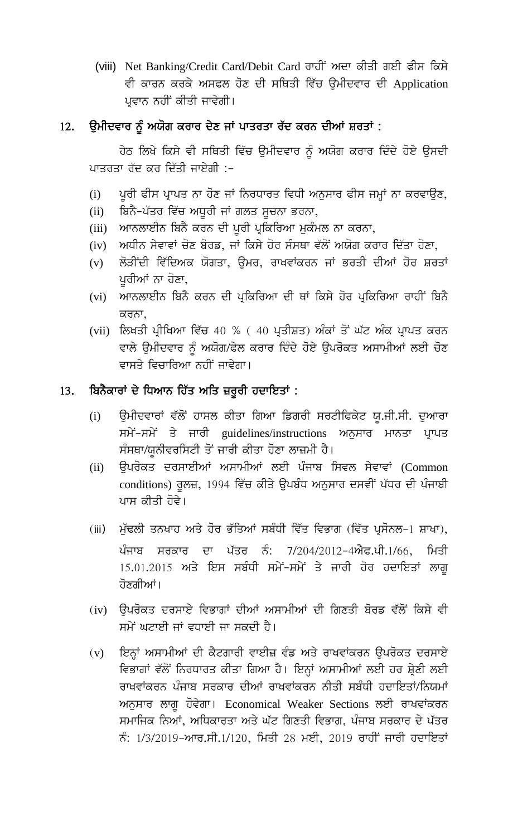(viii) Net Banking/Credit Card/Debit Card ਰਾਹੀਂ ਅਦਾ ਕੀਤੀ ਗਈ ਫੀਸ ਕਿਸੇ ਵੀ ਕਾਰਨ ਕਰਕੇ ਅਸਫਲ ਹੋਣ ਦੀ ਸਥਿਤੀ ਵਿੱਚ ਉਮੀਦਵਾਰ ਦੀ Application ਪ੍ਰਵਾਨ ਨਹੀਂ ਕੀਤੀ ਜਾਵੇਗੀ।

### ਉਮੀਦਵਾਰ ਨੂੰ ਅਯੋਗ ਕਰਾਰ ਦੇਣ ਜਾਂ ਪਾਤਰਤਾ ਰੱਦ ਕਰਨ ਦੀਆਂ ਸ਼ਰਤਾਂ : 12.

ਹੇਠ ਲਿਖੇ ਕਿਸੇ ਵੀ ਸਥਿਤੀ ਵਿੱਚ ਉਮੀਦਵਾਰ ਨੂੰ ਅਯੋਗ ਕਰਾਰ ਦਿੰਦੇ ਹੋਏ ਉਸਦੀ ਪਾਤਰਤਾ ਰੱਦ ਕਰ ਦਿੱਤੀ ਜਾਏਗੀ :-

- ਪੁਰੀ ਫੀਸ ਪ੍ਰਾਪਤ ਨਾ ਹੋਣ ਜਾਂ ਨਿਰਧਾਰਤ ਵਿਧੀ ਅਨੁਸਾਰ ਫੀਸ ਜਮ੍ਹਾਂ ਨਾ ਕਰਵਾਉਣ,  $(i)$
- ਬਿਨੈ-ਪੱਤਰ ਵਿੱਚ ਅਧੁਰੀ ਜਾਂ ਗਲਤ ਸੁਚਨਾ ਭਰਨਾ,  $(ii)$
- (iii) ਆਨਲਾਈਨ ਬਿਨੈ ਕਰਨ ਦੀ ਪੂਰੀ ਪ੍ਰਕਿਰਿਆ ਮੁਕੰਮਲ ਨਾ ਕਰਨਾ,
- ਅਧੀਨ ਸੇਵਾਵਾਂ ਚੋਣ ਬੋਰਡ, ਜਾਂ ਕਿਸੇ ਹੋਰ ਸੰਸਥਾ ਵੱਲੋਂ ਅਯੋਗ ਕਰਾਰ ਦਿੱਤਾ ਹੋਣਾ,  $(iv)$
- ਲੋੜੀਂਦੀ ਵਿੱਦਿਅਕ ਯੋਗਤਾ, ਉਮਰ, ਰਾਖਵਾਂਕਰਨ ਜਾਂ ਭਰਤੀ ਦੀਆਂ ਹੋਰ ਸ਼ਰਤਾਂ  $(v)$ ਪੁਰੀਆਂ ਨਾ ਹੋਣਾ,
- ਆਨਲਾਈਨ ਬਿਨੈ ਕਰਨ ਦੀ ਪ੍ਰਕਿਰਿਆ ਦੀ ਥਾਂ ਕਿਸੇ ਹੋਰ ਪ੍ਰਕਿਰਿਆ ਰਾਹੀਂ ਬਿਨੈ  $(vi)$ ਕਰਨਾ.
- (vii) ਲਿਖਤੀ ਪ੍ਰੀਖਿਆ ਵਿੱਚ 40 % ( 40 ਪ੍ਰਤੀਸ਼ਤ) ਅੰਕਾਂ ਤੋਂ ਘੱਟ ਅੰਕ ਪ੍ਰਾਪਤ ਕਰਨ ਵਾਲੇ ਉਮੀਦਵਾਰ ਨੂੰ ਅਯੋਗ/ਫੇਲ ਕਰਾਰ ਦਿੰਦੇ ਹੋਏ ਉਪਰੋਕਤ ਅਸਾਮੀਆਂ ਲਈ ਚੋਣ ਵਾਸਤੇ ਵਿਚਾਰਿਆ ਨਹੀਂ ਜਾਵੇਗਾ।

### ਬਿਨੈਕਾਰਾਂ ਦੇ ਧਿਆਨ ਹਿੱਤ ਅਤਿ ਜ਼ਰੂਰੀ ਹਦਾਇਤਾਂ : 13.

- ਉਮੀਦਵਾਰਾਂ ਵੱਲੋਂ ਹਾਸਲ ਕੀਤਾ ਗਿਆ ਡਿਗਰੀ ਸਰਟੀਫਿਕੇਟ ਯੂ.ਜੀ.ਸੀ. ਦੁਆਰਾ  $(i)$ ਸਮੇਂ-ਸਮੇਂ ਤੇ ਜਾਰੀ guidelines/instructions ਅਨੁਸਾਰ ਮਾਨਤਾ ਪ੍ਰਾਪਤ ਸੰਸਥਾ/ਯੁਨੀਵਰਸਿਟੀ ਤੋਂ ਜਾਰੀ ਕੀਤਾ ਹੋਣਾ ਲਾਜ਼ਮੀ ਹੈ।
- ਉਪਰੋਕਤ ਦਰਸਾਈਆਂ ਅਸਾਮੀਆਂ ਲਈ ਪੰਜਾਬ ਸਿਵਲ ਸੇਵਾਵਾਂ (Common  $(ii)$ conditions) ਰੁਲਜ਼, 1994 ਵਿੱਚ ਕੀਤੇ ਉਪਬੰਧ ਅਨੁਸਾਰ ਦਸਵੀਂ ਪੱਧਰ ਦੀ ਪੰਜਾਬੀ ਪਾਸ ਕੀਤੀ ਹੋਵੇ।
- ਮੁੱਢਲੀ ਤਨਖਾਹ ਅਤੇ ਹੋਰ ਭੱਤਿਆਂ ਸਬੰਧੀ ਵਿੱਤ ਵਿਭਾਗ (ਵਿੱਤ ਪ੍ਰਸੋਨਲ–1 ਸ਼ਾਖਾ),  $(iii)$ ਪੰਜਾਬ ਸਰਕਾਰ ਦਾ ਪੱਤਰ ਨੰ: 7/204/2012-4ਐਫ.ਪੀ.1/66, ਮਿਤੀ 15.01.2015 ਅਤੇ ਇਸ ਸਬੰਧੀ ਸਮੇਂ-ਸਮੇਂ ਤੇ ਜਾਰੀ ਹੋਰ ਹਦਾਇਤਾਂ ਲਾਗ ਹੋਣਗੀਆਂ।
- (iv) ਉਪਰੋਕਤ ਦਰਸਾਏ ਵਿਭਾਗਾਂ ਦੀਆਂ ਅਸਾਮੀਆਂ ਦੀ ਗਿਣਤੀ ਬੋਰਡ ਵੱਲੋਂ ਕਿਸੇ ਵੀ ਸਮੇਂ ਘਟਾਈ ਜਾਂ ਵਧਾਈ ਜਾ ਸਕਦੀ ਹੈ।
- ਇਨ੍ਹਾਂ ਅਸਾਮੀਆਂ ਦੀ ਕੈਟਗਾਰੀ ਵਾਈਜ਼ ਵੰਡ ਅਤੇ ਰਾਖਵਾਂਕਰਨ ਉਪਰੋਕਤ ਦਰਸਾਏ  $(v)$ ਵਿਭਾਗਾਂ ਵੱਲੋਂ ਨਿਰਧਾਰਤ ਕੀਤਾ ਗਿਆ ਹੈ। ਇਨ੍ਹਾਂ ਅਸਾਮੀਆਂ ਲਈ ਹਰ ਸ਼੍ਰੇਣੀ ਲਈ ਰਾਖਵਾਂਕਰਨ ਪੰਜਾਬ ਸਰਕਾਰ ਦੀਆਂ ਰਾਖਵਾਂਕਰਨ ਨੀਤੀ ਸਬੰਧੀ ਹਦਾਇਤਾਂ/ਨਿਯਮਾਂ ਅਨੁਸਾਰ ਲਾਗੂ ਹੋਵੇਗਾ। Economical Weaker Sections ਲਈ ਰਾਖਵਾਂਕਰਨ ਸਮਾਜਿਕ ਨਿਆਂ, ਅਧਿਕਾਰਤਾ ਅਤੇ ਘੱਟ ਗਿਣਤੀ ਵਿਭਾਗ, ਪੰਜਾਬ ਸਰਕਾਰ ਦੇ ਪੱਤਰ ਨੰ: 1/3/2019-ਆਰ.ਸੀ.1/120, ਮਿਤੀ 28 ਮਈ, 2019 ਰਾਹੀਂ ਜਾਰੀ ਹਦਾਇਤਾਂ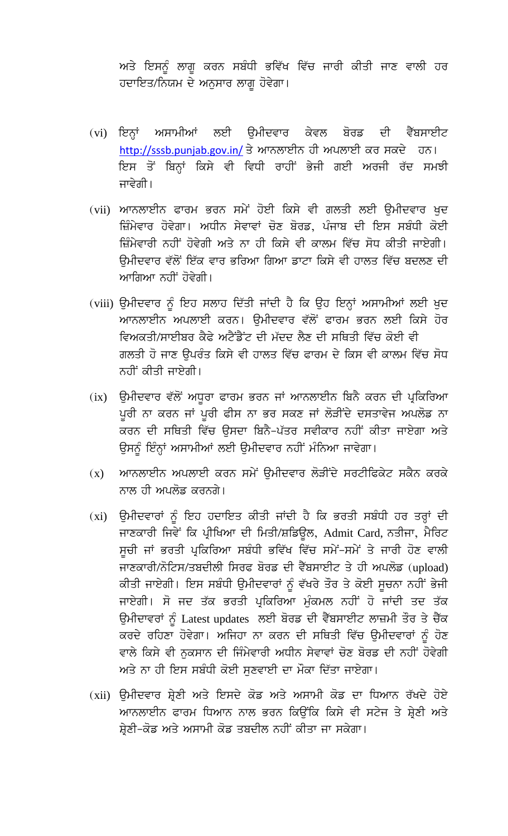ਅਤੇ ਇਸਨੂੰ ਲਾਗੂ ਕਰਨ ਸਬੰਧੀ ਭਵਿੱਖ ਵਿੱਚ ਜਾਰੀ ਕੀਤੀ ਜਾਣ ਵਾਲੀ ਹਰ ਹਦਾਇਤ/ਨਿਯਮ ਦੇ ਅਨੁਸਾਰ ਲਾਗੂ ਹੋਵੇਗਾ।

- (vi) ਇਨ੍ਹਾਂ ਅਸਾਮੀਆਂ ਲਈ ਉਮੀਦਵਾਰ ਕੇਵਲ ਬੋਰਡ ਦੀ ਵੈੱਬਸਾਈਟ http://sssb.punjab.gov.in/ ਤੇ ਆਨਲਾਈਨ ਹੀ ਅਪਲਾਈ ਕਰ ਸਕਦੇ ਹਨ। ਇਸ ਤੋਂ ਬਿਨ੍ਹਾਂ ਕਿਸੇ ਵੀ ਵਿਧੀ ਰਾਹੀਂ ਭੇਜੀ ਗਈ ਅਰਜੀ ਰੱਦ ਸਮਝੀ ਜਾਵੇਗੀ।
- (vii) ਆਨਲਾਈਨ ਫਾਰਮ ਭਰਨ ਸਮੇਂ ਹੋਈ ਕਿਸੇ ਵੀ ਗਲਤੀ ਲਈ ਉਮੀਦਵਾਰ ਖੁਦ ਜ਼ਿੰਮੇਵਾਰ ਹੋਵੇਗਾ। ਅਧੀਨ ਸੇਵਾਵਾਂ ਚੋਣ ਬੋਰਡ, ਪੰਜਾਬ ਦੀ ਇਸ ਸਬੰਧੀ ਕੋਈ ਜ਼ਿੰਮੇਵਾਰੀ ਨਹੀਂ ਹੋਵੇਗੀ ਅਤੇ ਨਾ ਹੀ ਕਿਸੇ ਵੀ ਕਾਲਮ ਵਿੱਚ ਸੋਧ ਕੀਤੀ ਜਾਏਗੀ। ਉਮੀਦਵਾਰ ਵੱਲੋਂ ਇੱਕ ਵਾਰ ਭਰਿਆ ਗਿਆ ਡਾਟਾ ਕਿਸੇ ਵੀ ਹਾਲਤ ਵਿੱਚ ਬਦਲਣ ਦੀ ਆਗਿਆ ਨਹੀਂ ਹੋਵੇਗੀ।
- (viii) ਉਮੀਦਵਾਰ ਨੂੰ ਇਹ ਸਲਾਹ ਦਿੱਤੀ ਜਾਂਦੀ ਹੈ ਕਿ ਉਹ ਇਨ੍ਹਾਂ ਅਸਾਮੀਆਂ ਲਈ ਖੁਦ ਆਨਲਾਈਨ ਅਪਲਾਈ ਕਰਨ। ਉਮੀਦਵਾਰ ਵੱਲੋਂ ਫਾਰਮ ਭਰਨ ਲਈ ਕਿਸੇ ਹੋਰ ਵਿਅਕਤੀ/ਸਾਈਬਰ ਕੈਫੇ ਅਟੈਂਡੈਂਟ ਦੀ ਮੱਦਦ ਲੈਣ ਦੀ ਸਥਿਤੀ ਵਿੱਚ ਕੋਈ ਵੀ ਗਲਤੀ ਹੋ ਜਾਣ ਉਪਰੰਤ ਕਿਸੇ ਵੀ ਹਾਲਤ ਵਿੱਚ ਫਾਰਮ ਦੇ ਕਿਸ ਵੀ ਕਾਲਮ ਵਿੱਚ ਸੋਧ ਨਹੀਂ ਕੀਤੀ ਜਾਏਗੀ।
- ਉਮੀਦਵਾਰ ਵੱਲੋਂ ਅਧੁਰਾ ਫਾਰਮ ਭਰਨ ਜਾਂ ਆਨਲਾਈਨ ਬਿਨੈ ਕਰਨ ਦੀ ਪ੍ਰਕਿਰਿਆ  $(ix)$ ਪੂਰੀ ਨਾ ਕਰਨ ਜਾਂ ਪੂਰੀ ਫੀਸ ਨਾ ਭਰ ਸਕਣ ਜਾਂ ਲੋੜੀਂਦੇ ਦਸਤਾਵੇਜ ਅਪਲੋਡ ਨਾ ਕਰਨ ਦੀ ਸਥਿਤੀ ਵਿੱਚ ਉਸਦਾ ਬਿਨੈ-ਪੱਤਰ ਸਵੀਕਾਰ ਨਹੀਂ ਕੀਤਾ ਜਾਏਗਾ ਅਤੇ ਉਸਨੂੰ ਇੰਨ੍ਹਾਂ ਅਸਾਮੀਆਂ ਲਈ ਉਮੀਦਵਾਰ ਨਹੀਂ ਮੰਨਿਆ ਜਾਵੇਗਾ।
- ਆਨਲਾਈਨ ਅਪਲਾਈ ਕਰਨ ਸਮੇਂ ਉਮੀਦਵਾਰ ਲੋੜੀਂਦੇ ਸਰਟੀਫਿਕੇਟ ਸਕੈਨ ਕਰਕੇ  $(x)$ ਨਾਲ ਹੀ ਅਪਲੋਡ ਕਰਨਗੇ।
- (xi) ਉਮੀਦਵਾਰਾਂ ਨੂੰ ਇਹ ਹਦਾਇਤ ਕੀਤੀ ਜਾਂਦੀ ਹੈ ਕਿ ਭਰਤੀ ਸਬੰਧੀ ਹਰ ਤਰ੍ਹਾਂ ਦੀ ਜਾਣਕਾਰੀ ਜਿਵੇਂ ਕਿ ਪ੍ਰੀਖਿਆ ਦੀ ਮਿਤੀ/ਸ਼ਡਿਊਲ, Admit Card, ਨਤੀਜਾ, ਮੈਰਿਟ ਸੂਚੀ ਜਾਂ ਭਰਤੀ ਪ੍ਰਕਿਰਿਆ ਸਬੰਧੀ ਭਵਿੱਖ ਵਿੱਚ ਸਮੇਂ-ਸਮੇਂ ਤੇ ਜਾਰੀ ਹੋਣ ਵਾਲੀ ਜਾਣਕਾਰੀ/ਨੋਟਿਸ/ਤਬਦੀਲੀ ਸਿਰਫ ਬੋਰਡ ਦੀ ਵੈੱਬਸਾਈਟ ਤੇ ਹੀ ਅਪਲੋਡ (upload) ਕੀਤੀ ਜਾਏਗੀ। ਇਸ ਸਬੰਧੀ ਉਮੀਦਵਾਰਾਂ ਨੂੰ ਵੱਖਰੇ ਤੌਰ ਤੇ ਕੋਈ ਸੂਚਨਾ ਨਹੀਂ ਭੇਜੀ ਜਾਏਗੀ। ਸੋ ਜਦ ਤੱਕ ਭਰਤੀ ਪ੍ਰਕਿਰਿਆ ਮੁੰਕਮਲ ਨਹੀਂ ਹੋ ਜਾਂਦੀ ਤਦ ਤੱਕ ਉਮੀਦਾਵਰਾਂ ਨੂੰ Latest updates ਲਈ ਬੋਰਡ ਦੀ ਵੈੱਬਸਾਈਟ ਲਾਜ਼ਮੀ ਤੌਰ ਤੇ ਚੈੱਕ ਕਰਦੇ ਰਹਿਣਾ ਹੋਵੇਗਾ। ਅਜਿਹਾ ਨਾ ਕਰਨ ਦੀ ਸਥਿਤੀ ਵਿੱਚ ਉਮੀਦਵਾਰਾਂ ਨੰ ਹੋਣ ਵਾਲੇ ਕਿਸੇ ਵੀ ਨੁਕਸਾਨ ਦੀ ਜਿੰਮੇਵਾਰੀ ਅਧੀਨ ਸੇਵਾਵਾਂ ਚੋਣ ਬੋਰਡ ਦੀ ਨਹੀਂ ਹੋਵੇਗੀ ਅਤੇ ਨਾ ਹੀ ਇਸ ਸਬੰਧੀ ਕੋਈ ਸਣਵਾਈ ਦਾ ਮੌਕਾ ਦਿੱਤਾ ਜਾਏਗਾ।
- (xii) ਉਮੀਦਵਾਰ ਸ਼੍ਰੇਣੀ ਅਤੇ ਇਸਦੇ ਕੋਡ ਅਤੇ ਅਸਾਮੀ ਕੋਡ ਦਾ ਧਿਆਨ ਰੱਖਦੇ ਹੋਏ ਆਨਲਾਈਨ ਫਾਰਮ ਧਿਆਨ ਨਾਲ ਭਰਨ ਕਿਉਂਕਿ ਕਿਸੇ ਵੀ ਸਟੇਜ ਤੇ ਸ਼੍ਰੇਣੀ ਅਤੇ ਸ਼੍ਰੇਣੀ-ਕੋਡ ਅਤੇ ਅਸਾਮੀ ਕੋਡ ਤਬਦੀਲ ਨਹੀਂ ਕੀਤਾ ਜਾ ਸਕੇਗਾ।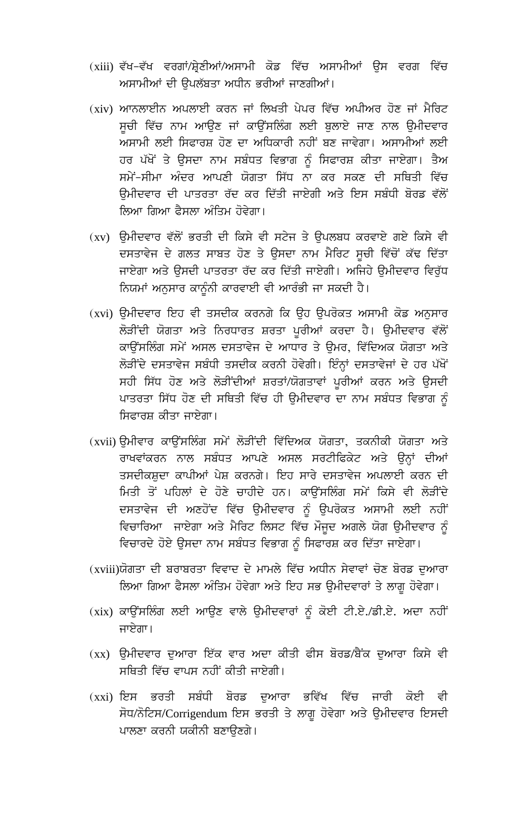- (xiii) ਵੱਖ–ਵੱਖ ਵਰਗਾਂ/ਸ਼੍ਰੇਣੀਆਂ/ਅਸਾਮੀ ਕੋਡ ਵਿੱਚ ਅਸਾਮੀਆਂ ਉਸ ਵਰਗ ਵਿੱਚ ਅਸਾਮੀਆਂ ਦੀ ਉਪਲੱਬਤਾ ਅਧੀਨ ਭਰੀਆਂ ਜਾਣਗੀਆਂ।
- (xiv) ਆਨਲਾਈਨ ਅਪਲਾਈ ਕਰਨ ਜਾਂ ਲਿਖਤੀ ਪੇਪਰ ਵਿੱਚ ਅਪੀਅਰ ਹੋਣ ਜਾਂ ਮੈਰਿਟ ਸੂਚੀ ਵਿੱਚ ਨਾਮ ਆਉਣ ਜਾਂ ਕਾਉਂਸਲਿੰਗ ਲਈ ਬੁਲਾਏ ਜਾਣ ਨਾਲ ਉਮੀਦਵਾਰ ਅਸਾਮੀ ਲਈ ਸਿਫਾਰਸ਼ ਹੋਣ ਦਾ ਅਧਿਕਾਰੀ ਨਹੀਂ ਬਣ ਜਾਵੇਗਾ। ਅਸਾਮੀਆਂ ਲਈ ਹਰ ਪੱਖੋਂ ਤੇ ਉਸਦਾ ਨਾਮ ਸਬੰਧਤ ਵਿਭਾਗ ਨੂੰ ਸਿਫਾਰਸ਼ ਕੀਤਾ ਜਾਏਗਾ। ਤੈਅ ਸਮੇਂ-ਸੀਮਾ ਅੰਦਰ ਆਪਣੀ ਯੋਗਤਾ ਸਿੱਧ ਨਾ ਕਰ ਸਕਣ ਦੀ ਸਥਿਤੀ ਵਿੱਚ ਉਮੀਦਵਾਰ ਦੀ ਪਾਤਰਤਾ ਰੱਦ ਕਰ ਦਿੱਤੀ ਜਾਏਗੀ ਅਤੇ ਇਸ ਸਬੰਧੀ ਬੋਰਡ ਵੱਲੋਂ ਲਿਆ ਗਿਆ ਫੈਸਲਾ ਅੰਤਿਮ ਹੋਵੇਗਾ।
- (xv) ਉਮੀਦਵਾਰ ਵੱਲੋਂ ਭਰਤੀ ਦੀ ਕਿਸੇ ਵੀ ਸਟੇਜ ਤੇ ਉਪਲਬਧ ਕਰਵਾਏ ਗਏ ਕਿਸੇ ਵੀ ਦਸਤਾਵੇਜ ਦੇ ਗਲਤ ਸਾਬਤ ਹੋਣ ਤੇ ਉਸਦਾ ਨਾਮ ਮੈਰਿਟ ਸੂਚੀ ਵਿੱਚੋਂ ਕੱਢ ਦਿੱਤਾ ਜਾਏਗਾ ਅਤੇ ਉਸਦੀ ਪਾਤਰਤਾ ਰੱਦ ਕਰ ਦਿੱਤੀ ਜਾਏਗੀ। ਅਜਿਹੇ ਉਮੀਦਵਾਰ ਵਿਰੁੱਧ ਨਿਯਮਾਂ ਅਨੁਸਾਰ ਕਾਨੂੰਨੀ ਕਾਰਵਾਈ ਵੀ ਆਰੰਭੀ ਜਾ ਸਕਦੀ ਹੈ।
- (xvi) ੳਮੀਦਵਾਰ ਇਹ ਵੀ ਤਸਦੀਕ ਕਰਨਗੇ ਕਿ ੳਹ ੳਪਰੋਕਤ ਅਸਾਮੀ ਕੋਡ ਅਨਸਾਰ ਲੋੜੀਂਦੀ ਯੋਗਤਾ ਅਤੇ ਨਿਰਧਾਰਤ ਸ਼ਰਤਾ ਪੁਰੀਆਂ ਕਰਦਾ ਹੈ। ਉਮੀਦਵਾਰ ਵੱਲੋਂ ਕਾਉਂਸਲਿੰਗ ਸਮੇਂ ਅਸਲ ਦਸਤਾਵੇਜ ਦੇ ਆਧਾਰ ਤੇ ਉਮਰ, ਵਿੱਦਿਅਕ ਯੋਗਤਾ ਅਤੇ ਲੋੜੀਂਦੇ ਦਸਤਾਵੇਜ ਸਬੰਧੀ ਤਸਦੀਕ ਕਰਨੀ ਹੋਵੇਗੀ। ਇੰਨ੍ਹਾਂ ਦਸਤਾਵੇਜਾਂ ਦੇ ਹਰ ਪੱਖੋਂ ਸਹੀ ਸਿੱਧ ਹੋਣ ਅਤੇ ਲੋੜੀਂਦੀਆਂ ਸ਼ਰਤਾਂ/ਯੋਗਤਾਵਾਂ ਪੁਰੀਆਂ ਕਰਨ ਅਤੇ ਉਸਦੀ ਪਾਤਰਤਾ ਸਿੱਧ ਹੋਣ ਦੀ ਸਥਿਤੀ ਵਿੱਚ ਹੀ ਉਮੀਦਵਾਰ ਦਾ ਨਾਮ ਸਬੰਧਤ ਵਿਭਾਗ ਨੂੰ ਸਿਫਾਰਸ਼ ਕੀਤਾ ਜਾਏਗਾ।
- (xvii) ਉਮੀਵਾਰ ਕਾਉਂਸਲਿੰਗ ਸਮੇਂ ਲੋੜੀਂਦੀ ਵਿੱਦਿਅਕ ਯੋਗਤਾ, ਤਕਨੀਕੀ ਯੋਗਤਾ ਅਤੇ ਰਾਖਵਾਂਕਰਨ ਨਾਲ ਸਬੰਧਤ ਆਪਣੇ ਅਸਲ ਸਰਟੀਫਿਕੇਟ ਅਤੇ ਉਨ੍ਹਾਂ ਦੀਆਂ ਤਸਦੀਕਸ਼ਦਾ ਕਾਪੀਆਂ ਪੇਸ਼ ਕਰਨਗੇ। ਇਹ ਸਾਰੇ ਦਸਤਾਵੇਜ ਅਪਲਾਈ ਕਰਨ ਦੀ ਮਿਤੀ ਤੋਂ ਪਹਿਲਾਂ ਦੇ ਹੋਣੇ ਚਾਹੀਦੇ ਹਨ। ਕਾਉਂਸਲਿੰਗ ਸਮੇਂ ਕਿਸੇ ਵੀ ਲੋੜੀਂਦੇ ਦਸਤਾਵੇਜ ਦੀ ਅਣਹੋਂਦ ਵਿੱਚ ਉਮੀਦਵਾਰ ਨੂੰ ਉਪਰੋਕਤ ਅਸਾਮੀ ਲਈ ਨਹੀਂ ਵਿਚਾਰਿਆ ਜਾਏਗਾ ਅਤੇ ਮੈਰਿਟ ਲਿਸਟ ਵਿੱਚ ਮੌਜੂਦ ਅਗਲੇ ਯੋਗ ਉਮੀਦਵਾਰ ਨੂੰ ਵਿਚਾਰਦੇ ਹੋਏ ਉਸਦਾ ਨਾਮ ਸਬੰਧਤ ਵਿਭਾਗ ਨੂੰ ਸਿਫਾਰਸ਼ ਕਰ ਦਿੱਤਾ ਜਾਏਗਾ।
- (xviii)ਯੋਗਤਾ ਦੀ ਬਰਾਬਰਤਾ ਵਿਵਾਦ ਦੇ ਮਾਮਲੇ ਵਿੱਚ ਅਧੀਨ ਸੇਵਾਵਾਂ ਚੋਣ ਬੋਰਡ ਦਆਰਾ ਲਿਆ ਗਿਆ ਫੈਸਲਾ ਅੰਤਿਮ ਹੋਵੇਗਾ ਅਤੇ ਇਹ ਸਭ ਉਮੀਦਵਾਰਾਂ ਤੇ ਲਾਗੂ ਹੋਵੇਗਾ।
- (xix) ਕਾਉਂਸਲਿੰਗ ਲਈ ਆਉਣ ਵਾਲੇ ਉਮੀਦਵਾਰਾਂ ਨੂੰ ਕੋਈ ਟੀ.ਏ./ਡੀ.ਏ. ਅਦਾ ਨਹੀਂ ਜਾਏਗਾ।
- (xx) ਉਮੀਦਵਾਰ ਦੁਆਰਾ ਇੱਕ ਵਾਰ ਅਦਾ ਕੀਤੀ ਫੀਸ ਬੋਰਡ/ਬੈਂਕ ਦੁਆਰਾ ਕਿਸੇ ਵੀ ਸਥਿਤੀ ਵਿੱਚ ਵਾਪਸ ਨਹੀਂ ਕੀਤੀ ਜਾਏਗੀ।
- (xxi) ਇਸ ਭਰਤੀ ਸਬੰਧੀ ਬੋਰਡ ਦਆਰਾ ਭਵਿੱਖ ਵਿੱਚ ਜਾਰੀ ਕੋਈ ਵੀ ਸੋਧ/ਨੋਟਿਸ/Corrigendum ਇਸ ਭਰਤੀ ਤੇ ਲਾਗੂ ਹੋਵੇਗਾ ਅਤੇ ਉਮੀਦਵਾਰ ਇਸਦੀ ਪਾਲਣਾ ਕਰਨੀ ਯਕੀਨੀ ਬਣਾਉਣਗੇ।